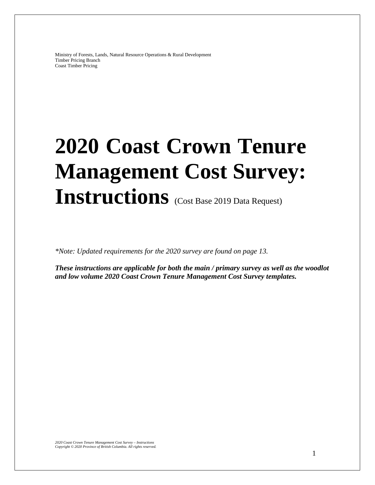Ministry of Forests, Lands, Natural Resource Operations & Rural Development Timber Pricing Branch Coast Timber Pricing

# **2020 Coast Crown Tenure Management Cost Survey:**  Instructions (Cost Base 2019 Data Request)

*\*Note: Updated requirements for the 2020 survey are found on page 13.* 

*These instructions are applicable for both the main / primary survey as well as the woodlot and low volume 2020 Coast Crown Tenure Management Cost Survey templates.*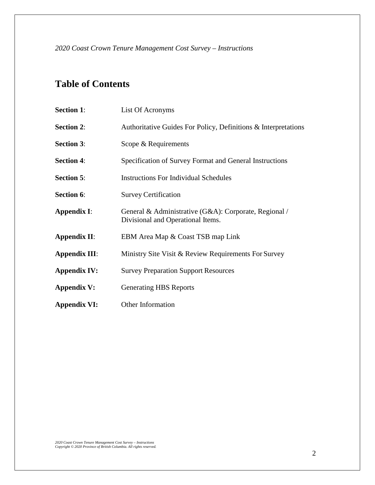*2020 Coast Crown Tenure Management Cost Survey – Instructions*

# **Table of Contents**

| <b>Section 1:</b>    | List Of Acronyms                                                                           |
|----------------------|--------------------------------------------------------------------------------------------|
| <b>Section 2:</b>    | Authoritative Guides For Policy, Definitions & Interpretations                             |
| <b>Section 3:</b>    | Scope & Requirements                                                                       |
| <b>Section 4:</b>    | Specification of Survey Format and General Instructions                                    |
| <b>Section 5:</b>    | <b>Instructions For Individual Schedules</b>                                               |
| <b>Section 6:</b>    | <b>Survey Certification</b>                                                                |
| <b>Appendix I:</b>   | General & Administrative (G&A): Corporate, Regional /<br>Divisional and Operational Items. |
| <b>Appendix II:</b>  | EBM Area Map & Coast TSB map Link                                                          |
| <b>Appendix III:</b> | Ministry Site Visit & Review Requirements For Survey                                       |
| <b>Appendix IV:</b>  | <b>Survey Preparation Support Resources</b>                                                |
| <b>Appendix V:</b>   | <b>Generating HBS Reports</b>                                                              |
| <b>Appendix VI:</b>  | <b>Other Information</b>                                                                   |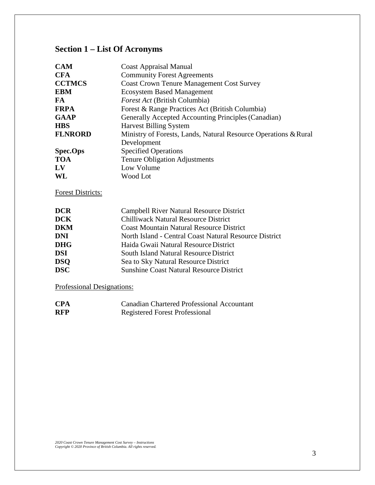# **Section 1 – List Of Acronyms**

| <b>CAM</b>               | <b>Coast Appraisal Manual</b>                                   |
|--------------------------|-----------------------------------------------------------------|
| <b>CFA</b>               | <b>Community Forest Agreements</b>                              |
| <b>CCTMCS</b>            | <b>Coast Crown Tenure Management Cost Survey</b>                |
| <b>EBM</b>               | <b>Ecosystem Based Management</b>                               |
| FA.                      | <i>Forest Act</i> (British Columbia)                            |
| <b>FRPA</b>              | Forest & Range Practices Act (British Columbia)                 |
| <b>GAAP</b>              | Generally Accepted Accounting Principles (Canadian)             |
| <b>HBS</b>               | <b>Harvest Billing System</b>                                   |
| <b>FLNRORD</b>           | Ministry of Forests, Lands, Natural Resource Operations & Rural |
|                          | Development                                                     |
| <b>Spec.Ops</b>          | <b>Specified Operations</b>                                     |
| <b>TOA</b>               | Tenure Obligation Adjustments                                   |
| LV                       | Low Volume                                                      |
| WL                       | Wood Lot                                                        |
| <b>Forest Districts:</b> |                                                                 |
| <b>DCR</b>               | Campbell River Natural Resource District                        |
| <b>DCK</b>               | <b>Chilliwack Natural Resource District</b>                     |
| <b>DKM</b>               | <b>Coast Mountain Natural Resource District</b>                 |
| <b>DNI</b>               | North Island - Central Coast Natural Resource District          |
| <b>DHG</b>               | Haida Gwaii Natural Resource District                           |
| <b>DSI</b>               | <b>South Island Natural Resource District</b>                   |
| <b>DSQ</b>               | Sea to Sky Natural Resource District                            |
| <b>DSC</b>               | <b>Sunshine Coast Natural Resource District</b>                 |

Professional Designations:

| <b>CPA</b> | <b>Canadian Chartered Professional Accountant</b> |
|------------|---------------------------------------------------|
| <b>RFP</b> | <b>Registered Forest Professional</b>             |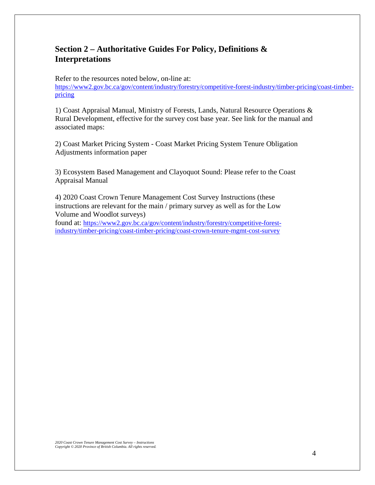# **Section 2 – Authoritative Guides For Policy, Definitions & Interpretations**

Refer to the resources noted below, on-line at:

[https://www2.gov.bc.ca/gov/content/industry/forestry/competitive-forest-industry/timber-pricing/coast-timber](https://www2.gov.bc.ca/gov/content/industry/forestry/competitive-forest-industry/timber-pricing/coast-timber-pricing)[pricing](https://www2.gov.bc.ca/gov/content/industry/forestry/competitive-forest-industry/timber-pricing/coast-timber-pricing)

1) Coast Appraisal Manual, Ministry of Forests, Lands, Natural Resource Operations & Rural Development, effective for the survey cost base year. See link for the manual and associated maps:

2) Coast Market Pricing System - Coast Market Pricing System Tenure Obligation Adjustments information paper

3) Ecosystem Based Management and Clayoquot Sound: Please refer to the Coast Appraisal Manual

4) 2020 Coast Crown Tenure Management Cost Survey Instructions (these instructions are relevant for the main / primary survey as well as for the Low Volume and Woodlot surveys)

found at: https://www2.gov.bc.ca/gov/content/industry/forestry/competitive-forestindustry/timber-pricing/coast-timber-pricing/coast-crown-tenure-mgmt-cost-survey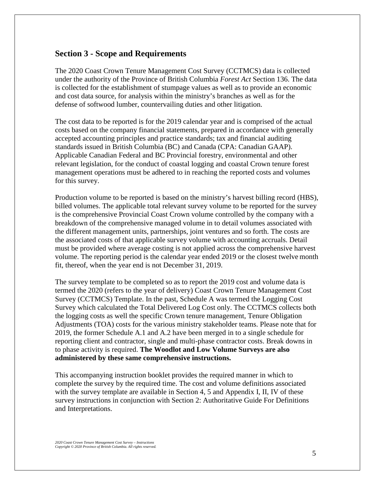# **Section 3 - Scope and Requirements**

The 2020 Coast Crown Tenure Management Cost Survey (CCTMCS) data is collected under the authority of the Province of British Columbia *Forest Act* Section 136. The data is collected for the establishment of stumpage values as well as to provide an economic and cost data source, for analysis within the ministry's branches as well as for the defense of softwood lumber, countervailing duties and other litigation.

The cost data to be reported is for the 2019 calendar year and is comprised of the actual costs based on the company financial statements, prepared in accordance with generally accepted accounting principles and practice standards; tax and financial auditing standards issued in British Columbia (BC) and Canada (CPA: Canadian GAAP). Applicable Canadian Federal and BC Provincial forestry, environmental and other relevant legislation, for the conduct of coastal logging and coastal Crown tenure forest management operations must be adhered to in reaching the reported costs and volumes for this survey.

Production volume to be reported is based on the ministry's harvest billing record (HBS), billed volumes. The applicable total relevant survey volume to be reported for the survey is the comprehensive Provincial Coast Crown volume controlled by the company with a breakdown of the comprehensive managed volume in to detail volumes associated with the different management units, partnerships, joint ventures and so forth. The costs are the associated costs of that applicable survey volume with accounting accruals. Detail must be provided where average costing is not applied across the comprehensive harvest volume. The reporting period is the calendar year ended 2019 or the closest twelve month fit, thereof, when the year end is not December 31, 2019.

The survey template to be completed so as to report the 2019 cost and volume data is termed the 2020 (refers to the year of delivery) Coast Crown Tenure Management Cost Survey (CCTMCS) Template. In the past, Schedule A was termed the Logging Cost Survey which calculated the Total Delivered Log Cost only. The CCTMCS collects both the logging costs as well the specific Crown tenure management, Tenure Obligation Adjustments (TOA) costs for the various ministry stakeholder teams. Please note that for 2019, the former Schedule A.1 and A.2 have been merged in to a single schedule for reporting client and contractor, single and multi-phase contractor costs. Break downs in to phase activity is required. **The Woodlot and Low Volume Surveys are also administered by these same comprehensive instructions.** 

This accompanying instruction booklet provides the required manner in which to complete the survey by the required time. The cost and volume definitions associated with the survey template are available in Section 4, 5 and Appendix I, II, IV of these survey instructions in conjunction with Section 2: Authoritative Guide For Definitions and Interpretations.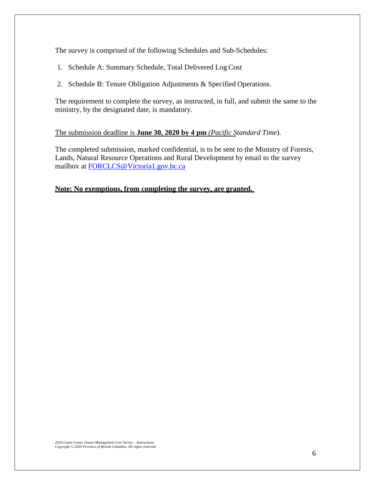The survey is comprised of the following Schedules and Sub-Schedules:

- 1. Schedule A: Summary Schedule, Total Delivered Log Cost
- 2. Schedule B: Tenure Obligation Adjustments & Specified Operations.

The requirement to complete the survey, as instructed, in full, and submit the same to the ministry, by the designated date, is mandatory.

# The submission deadline is **June 30, 2020 by 4 pm** *(Pacific Standard Time*).

The completed submission, marked confidential, is to be sent to the Ministry of Forests, Lands, Natural Resource Operations and Rural Development by email to the survey mailbox at [FORCLCS@Victoria1.gov.bc.ca](mailto:FORCLCS@Victoria1.gov.bc.ca)

# **Note: No exemptions, from completing the survey, are granted.**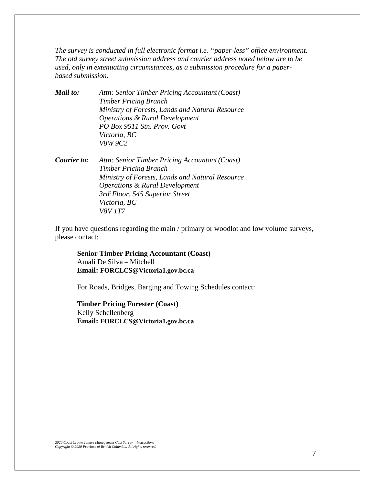*The survey is conducted in full electronic format i.e. "paper-less" office environment. The old survey street submission address and courier address noted below are to be used, only in extenuating circumstances, as a submission procedure for a paperbased submission.* 

*Mail to: Attn: Senior Timber Pricing Accountant(Coast) Timber Pricing Branch Ministry of Forests, Lands and Natural Resource Operations & Rural Development PO Box 9511 Stn. Prov. Govt Victoria, BC V8W 9C2*

*Courier to: Attn: Senior Timber Pricing Accountant(Coast) Timber Pricing Branch Ministry of Forests, Lands and Natural Resource Operations & Rural Development 3rdt Floor, 545 Superior Street Victoria, BC V8V 1T7*

If you have questions regarding the main / primary or woodlot and low volume surveys, please contact:

**Senior Timber Pricing Accountant (Coast)** Amali De Silva – Mitchell **Email: [FORCLCS@Victoria1.gov.bc.ca](mailto:FORCLCS@Victoria1.gov.bc.ca)**

For Roads, Bridges, Barging and Towing Schedules contact:

**Timber Pricing Forester (Coast)**  Kelly Schellenberg **Email: [FORCLCS@Victoria1.gov.bc.ca](mailto:FORCLCS@Victoria1.gov.bc.ca)**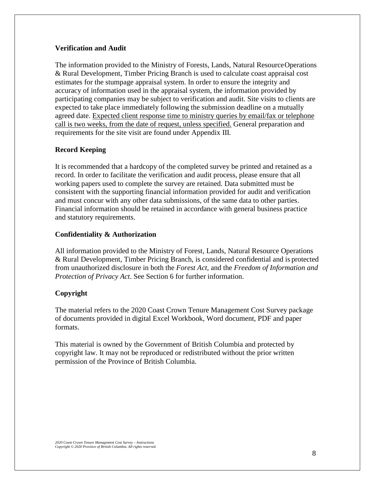# **Verification and Audit**

The information provided to the Ministry of Forests, Lands, Natural ResourceOperations & Rural Development, Timber Pricing Branch is used to calculate coast appraisal cost estimates for the stumpage appraisal system. In order to ensure the integrity and accuracy of information used in the appraisal system, the information provided by participating companies may be subject to verification and audit. Site visits to clients are expected to take place immediately following the submission deadline on a mutually agreed date. Expected client response time to ministry queries by email/fax or telephone call is two weeks, from the date of request, unless specified. General preparation and requirements for the site visit are found under Appendix III.

# **Record Keeping**

It is recommended that a hardcopy of the completed survey be printed and retained as a record. In order to facilitate the verification and audit process, please ensure that all working papers used to complete the survey are retained. Data submitted must be consistent with the supporting financial information provided for audit and verification and must concur with any other data submissions, of the same data to other parties. Financial information should be retained in accordance with general business practice and statutory requirements.

# **Confidentiality & Authorization**

All information provided to the Ministry of Forest, Lands, Natural Resource Operations & Rural Development, Timber Pricing Branch, is considered confidential and is protected from unauthorized disclosure in both the *Forest Act*, and the *Freedom of Information and Protection of Privacy Act*. See Section 6 for further information.

# **Copyright**

The material refers to the 2020 Coast Crown Tenure Management Cost Survey package of documents provided in digital Excel Workbook, Word document, PDF and paper formats.

This material is owned by the Government of British Columbia and protected by copyright law. It may not be reproduced or redistributed without the prior written permission of the Province of British Columbia.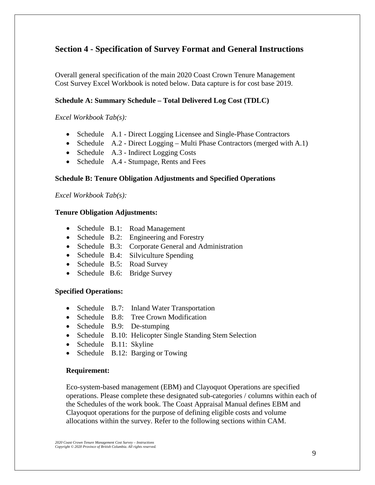# **Section 4 - Specification of Survey Format and General Instructions**

Overall general specification of the main 2020 Coast Crown Tenure Management Cost Survey Excel Workbook is noted below. Data capture is for cost base 2019.

# **Schedule A: Summary Schedule – Total Delivered Log Cost (TDLC)**

*Excel Workbook Tab(s):*

- Schedule A.1 Direct Logging Licensee and Single-Phase Contractors
- Schedule A.2 Direct Logging Multi Phase Contractors (merged with A.1)
- Schedule A.3 Indirect Logging Costs
- Schedule A.4 Stumpage, Rents and Fees

### **Schedule B: Tenure Obligation Adjustments and Specified Operations**

*Excel Workbook Tab(s):*

### **Tenure Obligation Adjustments:**

- Schedule B.1: Road Management
- Schedule B.2: Engineering and Forestry
- Schedule B.3: Corporate General and Administration
- Schedule B.4: Silviculture Spending
- Schedule B.5: Road Survey
- Schedule B.6: Bridge Survey

#### **Specified Operations:**

- Schedule B.7: Inland Water Transportation
- Schedule B.8: Tree Crown Modification
- Schedule B.9: De-stumping
- Schedule B.10: Helicopter Single Standing Stem Selection
- Schedule B.11: Skyline
- Schedule B.12: Barging or Towing

#### **Requirement:**

Eco-system-based management (EBM) and Clayoquot Operations are specified operations. Please complete these designated sub-categories / columns within each of the Schedules of the work book. The Coast Appraisal Manual defines EBM and Clayoquot operations for the purpose of defining eligible costs and volume allocations within the survey. Refer to the following sections within CAM.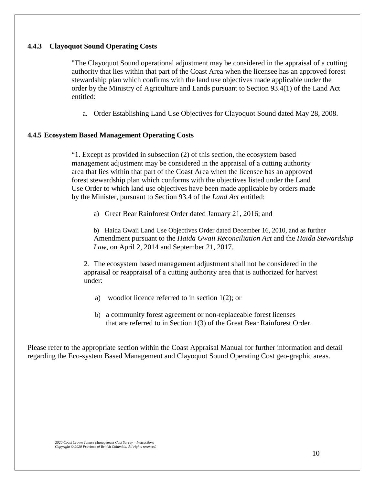# **4.4.3 Clayoquot Sound Operating Costs**

"The Clayoquot Sound operational adjustment may be considered in the appraisal of a cutting authority that lies within that part of the Coast Area when the licensee has an approved forest stewardship plan which confirms with the land use objectives made applicable under the order by the Ministry of Agriculture and Lands pursuant to Section 93.4(1) of the Land Act entitled:

a. Order Establishing Land Use Objectives for Clayoquot Sound dated May 28, 2008.

### **4.4.5 Ecosystem Based Management Operating Costs**

"1. Except as provided in subsection (2) of this section, the ecosystem based management adjustment may be considered in the appraisal of a cutting authority area that lies within that part of the Coast Area when the licensee has an approved forest stewardship plan which conforms with the objectives listed under the Land Use Order to which land use objectives have been made applicable by orders made by the Minister, pursuant to Section 93.4 of the *Land Act* entitled:

a) Great Bear Rainforest Order dated January 21, 2016; and

b) Haida Gwaii Land Use Objectives Order dated December 16, 2010, and as further Amendment pursuant to the *Haida Gwaii Reconciliation Act* and the *Haida Stewardship Law*, on April 2, 2014 and September 21, 2017.

2. The ecosystem based management adjustment shall not be considered in the appraisal or reappraisal of a cutting authority area that is authorized for harvest under:

- a) woodlot licence referred to in section 1(2); or
- b) a community forest agreement or non-replaceable forest licenses that are referred to in Section 1(3) of the Great Bear Rainforest Order.

Please refer to the appropriate section within the Coast Appraisal Manual for further information and detail regarding the Eco-system Based Management and Clayoquot Sound Operating Cost geo-graphic areas.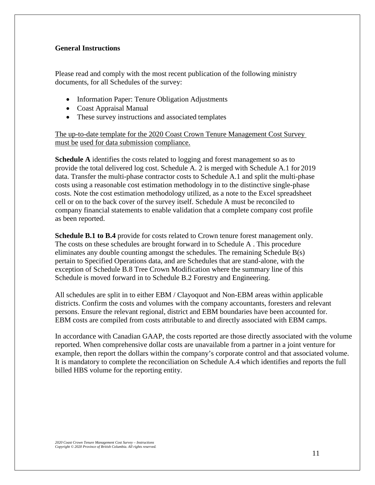# **General Instructions**

Please read and comply with the most recent publication of the following ministry documents, for all Schedules of the survey:

- Information Paper: Tenure Obligation Adjustments
- Coast Appraisal Manual
- These survey instructions and associated templates

The up-to-date template for the 2020 Coast Crown Tenure Management Cost Survey must be used for data submission compliance.

**Schedule A** identifies the costs related to logging and forest management so as to provide the total delivered log cost. Schedule A. 2 is merged with Schedule A.1 for 2019 data. Transfer the multi-phase contractor costs to Schedule A.1 and split the multi-phase costs using a reasonable cost estimation methodology in to the distinctive single-phase costs. Note the cost estimation methodology utilized, as a note to the Excel spreadsheet cell or on to the back cover of the survey itself. Schedule A must be reconciled to company financial statements to enable validation that a complete company cost profile as been reported.

**Schedule B.1 to B.4** provide for costs related to Crown tenure forest management only. The costs on these schedules are brought forward in to Schedule A . This procedure eliminates any double counting amongst the schedules. The remaining Schedule B(s) pertain to Specified Operations data, and are Schedules that are stand-alone, with the exception of Schedule B.8 Tree Crown Modification where the summary line of this Schedule is moved forward in to Schedule B.2 Forestry and Engineering.

All schedules are split in to either EBM / Clayoquot and Non-EBM areas within applicable districts. Confirm the costs and volumes with the company accountants, foresters and relevant persons. Ensure the relevant regional, district and EBM boundaries have been accounted for. EBM costs are compiled from costs attributable to and directly associated with EBM camps.

In accordance with Canadian GAAP, the costs reported are those directly associated with the volume reported. When comprehensive dollar costs are unavailable from a partner in a joint venture for example, then report the dollars within the company's corporate control and that associated volume. It is mandatory to complete the reconciliation on Schedule A.4 which identifies and reports the full billed HBS volume for the reporting entity.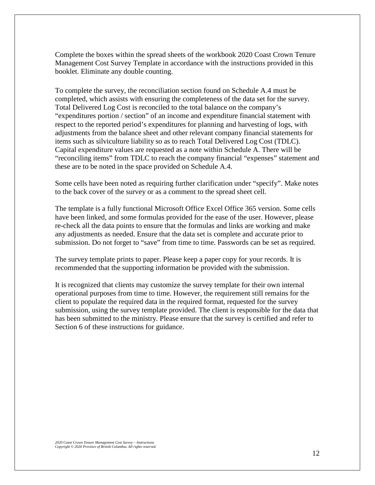Complete the boxes within the spread sheets of the workbook 2020 Coast Crown Tenure Management Cost Survey Template in accordance with the instructions provided in this booklet. Eliminate any double counting.

To complete the survey, the reconciliation section found on Schedule A.4 must be completed, which assists with ensuring the completeness of the data set for the survey. Total Delivered Log Cost is reconciled to the total balance on the company's "expenditures portion / section" of an income and expenditure financial statement with respect to the reported period's expenditures for planning and harvesting of logs, with adjustments from the balance sheet and other relevant company financial statements for items such as silviculture liability so as to reach Total Delivered Log Cost (TDLC). Capital expenditure values are requested as a note within Schedule A. There will be "reconciling items" from TDLC to reach the company financial "expenses" statement and these are to be noted in the space provided on Schedule A.4.

Some cells have been noted as requiring further clarification under "specify". Make notes to the back cover of the survey or as a comment to the spread sheet cell.

The template is a fully functional Microsoft Office Excel Office 365 version. Some cells have been linked, and some formulas provided for the ease of the user. However, please re-check all the data points to ensure that the formulas and links are working and make any adjustments as needed. Ensure that the data set is complete and accurate prior to submission. Do not forget to "save" from time to time. Passwords can be set as required.

The survey template prints to paper. Please keep a paper copy for your records. It is recommended that the supporting information be provided with the submission.

It is recognized that clients may customize the survey template for their own internal operational purposes from time to time. However, the requirement still remains for the client to populate the required data in the required format, requested for the survey submission, using the survey template provided. The client is responsible for the data that has been submitted to the ministry. Please ensure that the survey is certified and refer to Section 6 of these instructions for guidance.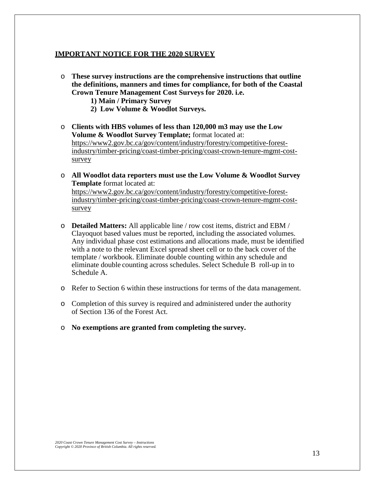#### **IMPORTANT NOTICE FOR THE 2020 SURVEY**

- o **These survey instructions are the comprehensive instructions that outline the definitions, manners and times for compliance, for both of the Coastal Crown Tenure Management Cost Surveys for 2020. i.e.** 
	- **1) Main / Primary Survey**
	- **2) Low Volume & Woodlot Surveys.**
- o **Clients with HBS volumes of less than 120,000 m3 may use the Low Volume & Woodlot Survey Template;** format located at: https://www2.gov.bc.ca/gov/content/industry/forestry/competitive-forestindustry/timber-pricing/coast-timber-pricing/coast-crown-tenure-mgmt-costsurvey
- o **All Woodlot data reporters must use the Low Volume & Woodlot Survey Template** format located at: https://www2.gov.bc.ca/gov/content/industry/forestry/competitive-forestindustry/timber-pricing/coast-timber-pricing/coast-crown-tenure-mgmt-costsurvey
- o **Detailed Matters:** All applicable line / row cost items, district and EBM / Clayoquot based values must be reported, including the associated volumes. Any individual phase cost estimations and allocations made, must be identified with a note to the relevant Excel spread sheet cell or to the back cover of the template / workbook. Eliminate double counting within any schedule and eliminate double counting across schedules. Select Schedule B roll-up in to Schedule A.
- o Refer to Section 6 within these instructions for terms of the data management.
- o Completion of this survey is required and administered under the authority of Section 136 of the Forest Act.
- o **No exemptions are granted from completing the survey.**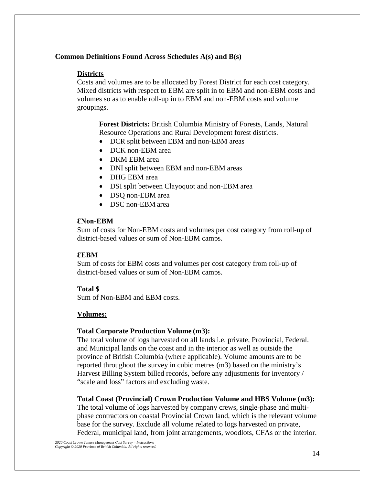# **Common Definitions Found Across Schedules A(s) and B(s)**

# **Districts**

Costs and volumes are to be allocated by Forest District for each cost category. Mixed districts with respect to EBM are split in to EBM and non-EBM costs and volumes so as to enable roll-up in to EBM and non-EBM costs and volume groupings.

**Forest Districts:** British Columbia Ministry of Forests, Lands, Natural Resource Operations and Rural Development forest districts.

- DCR split between EBM and non-EBM areas
- DCK non-EBM area
- DKM EBM area
- DNI split between EBM and non-EBM areas
- DHG EBM area
- DSI split between Clayoquot and non-EBM area
- DSQ non-EBM area
- DSC non-EBM area

#### **ƐNon-EBM**

Sum of costs for Non-EBM costs and volumes per cost category from roll-up of district-based values or sum of Non-EBM camps.

#### **ƐEBM**

Sum of costs for EBM costs and volumes per cost category from roll-up of district-based values or sum of Non-EBM camps.

#### **Total \$**

Sum of Non-EBM and EBM costs.

# **Volumes:**

#### **Total Corporate Production Volume (m3):**

The total volume of logs harvested on all lands i.e. private, Provincial, Federal. and Municipal lands on the coast and in the interior as well as outside the province of British Columbia (where applicable). Volume amounts are to be reported throughout the survey in cubic metres (m3) based on the ministry's Harvest Billing System billed records, before any adjustments for inventory / "scale and loss" factors and excluding waste.

#### **Total Coast (Provincial) Crown Production Volume and HBS Volume (m3):**

The total volume of logs harvested by company crews, single-phase and multiphase contractors on coastal Provincial Crown land, which is the relevant volume base for the survey. Exclude all volume related to logs harvested on private, Federal, municipal land, from joint arrangements, woodlots, CFAs or the interior.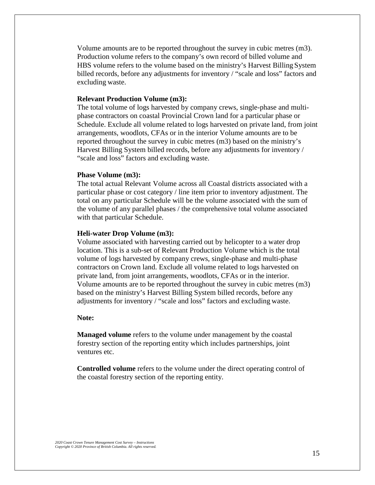Volume amounts are to be reported throughout the survey in cubic metres (m3). Production volume refers to the company's own record of billed volume and HBS volume refers to the volume based on the ministry's Harvest Billing System billed records, before any adjustments for inventory / "scale and loss" factors and excluding waste.

#### **Relevant Production Volume (m3):**

The total volume of logs harvested by company crews, single-phase and multiphase contractors on coastal Provincial Crown land for a particular phase or Schedule. Exclude all volume related to logs harvested on private land, from joint arrangements, woodlots, CFAs or in the interior Volume amounts are to be reported throughout the survey in cubic metres (m3) based on the ministry's Harvest Billing System billed records, before any adjustments for inventory / "scale and loss" factors and excluding waste.

#### **Phase Volume (m3):**

The total actual Relevant Volume across all Coastal districts associated with a particular phase or cost category / line item prior to inventory adjustment. The total on any particular Schedule will be the volume associated with the sum of the volume of any parallel phases / the comprehensive total volume associated with that particular Schedule.

#### **Heli-water Drop Volume (m3):**

Volume associated with harvesting carried out by helicopter to a water drop location. This is a sub-set of Relevant Production Volume which is the total volume of logs harvested by company crews, single-phase and multi-phase contractors on Crown land. Exclude all volume related to logs harvested on private land, from joint arrangements, woodlots, CFAs or in the interior. Volume amounts are to be reported throughout the survey in cubic metres (m3) based on the ministry's Harvest Billing System billed records, before any adjustments for inventory / "scale and loss" factors and excluding waste.

# **Note:**

**Managed volume** refers to the volume under management by the coastal forestry section of the reporting entity which includes partnerships, joint ventures etc.

**Controlled volume** refers to the volume under the direct operating control of the coastal forestry section of the reporting entity.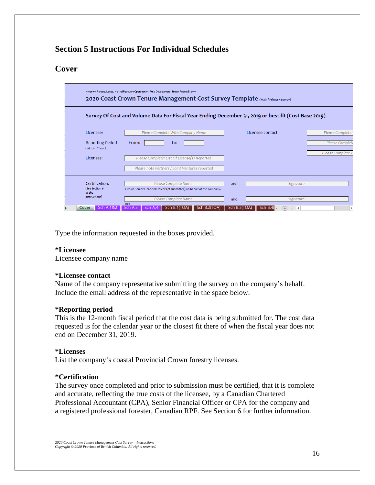# **Section 5 Instructions For Individual Schedules**

# **Cover**

|                                                    | Ministry of Forests, Lands, Natural Resource Operations & Rural Development, Timber Pricing Branch<br>2020 Coast Crown Tenure Management Cost Survey Template (Main/Primary Survey) |                               |                     |                                  |                                       |                                      |
|----------------------------------------------------|-------------------------------------------------------------------------------------------------------------------------------------------------------------------------------------|-------------------------------|---------------------|----------------------------------|---------------------------------------|--------------------------------------|
|                                                    | Survey Of Cost and Volume Data For Fiscal Year Ending December 31, 2019 or best fit (Cost Base 2019)                                                                                |                               |                     |                                  |                                       |                                      |
| Licensee:                                          | Please Complete With Company Name                                                                                                                                                   |                               |                     | Licensee contact:                |                                       | Please Complete                      |
| <b>Reporting Period</b><br>(Month/Year)            | From:<br>To:                                                                                                                                                                        |                               |                     |                                  |                                       | Please Complete<br>Please Complete W |
| Licenses:                                          | Please Complete: List Of License(s) Reported<br>Please note Partners / Joint Ventures reported                                                                                      |                               |                     |                                  |                                       |                                      |
| Certification:<br>(See Section 6<br>of the         | Please Complete Name<br>CPA or Senior Financial Officer (of submitter) on behalf of the company.                                                                                    |                               | and                 |                                  | Signature                             |                                      |
| instructions)<br><b>Sch A.1822</b><br><b>Cover</b> | Please Complete Name<br><b>REP</b><br>Sch A.3<br>Sch.                                                                                                                               | Sch B. 1(TOA)<br>Sch B.2(TOA) | and<br>Sch B.3(TOA) | Sch B.4(<br>$^{(+)}$<br>$\cdots$ | Signature<br>$\overline{\phantom{0}}$ | ь                                    |

Type the information requested in the boxes provided.

# **\*Licensee**

Licensee company name

#### **\*Licensee contact**

Name of the company representative submitting the survey on the company's behalf. Include the email address of the representative in the space below.

#### **\*Reporting period**

This is the 12-month fiscal period that the cost data is being submitted for. The cost data requested is for the calendar year or the closest fit there of when the fiscal year does not end on December 31, 2019.

#### **\*Licenses**

List the company's coastal Provincial Crown forestry licenses.

# **\*Certification**

The survey once completed and prior to submission must be certified, that it is complete and accurate, reflecting the true costs of the licensee, by a Canadian Chartered Professional Accountant (CPA), Senior Financial Officer or CPA for the company and a registered professional forester, Canadian RPF. See Section 6 for further information.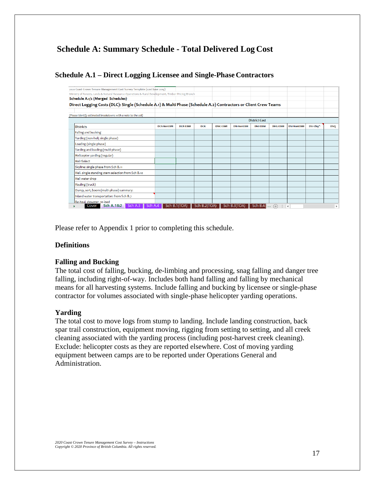# **Schedule A: Summary Schedule - Total Delivered Log Cost**

# **Schedule A.1 – Direct Logging Licensee and Single-Phase Contractors**

| Ministry of Forests, Lands & Natural Resource Operations & Rural Development, Timber Pricing Branch             |                   |                |            |                |                   |                      |                |                   |           |            |
|-----------------------------------------------------------------------------------------------------------------|-------------------|----------------|------------|----------------|-------------------|----------------------|----------------|-------------------|-----------|------------|
| Schedule A.1/2 (Merged Schedules)                                                                               |                   |                |            |                |                   |                      |                |                   |           |            |
| Direct Logging Costs (DLC): Single (Schedule A.1) & Multi Phase (Schedule A.2) Contractors or Client Crew Teams |                   |                |            |                |                   |                      |                |                   |           |            |
|                                                                                                                 |                   |                |            |                |                   |                      |                |                   |           |            |
| (Please identify estimated breakdowns with a note to the cell)                                                  |                   |                |            |                |                   |                      |                |                   |           |            |
|                                                                                                                 |                   |                |            |                |                   | <b>District Cost</b> |                |                   |           |            |
| <b>Districts</b>                                                                                                | <b>DCR-NonEBM</b> | <b>DCR-EBM</b> | <b>DCK</b> | <b>DNC-EBM</b> | <b>DNI-NonEBM</b> | <b>DNI-EBM</b>       | <b>DHG-EBM</b> | <b>DSI-NonEBM</b> | DSI-Clay^ | <b>DSO</b> |
| Falling and bucking                                                                                             |                   |                |            |                |                   |                      |                |                   |           |            |
| Yarding (non-heli; single phase)                                                                                |                   |                |            |                |                   |                      |                |                   |           |            |
| Loading (single phase)                                                                                          |                   |                |            |                |                   |                      |                |                   |           |            |
| Yarding and loading (multi-phase)                                                                               |                   |                |            |                |                   |                      |                |                   |           |            |
| Helicopter yarding (regular)                                                                                    |                   |                |            |                |                   |                      |                |                   |           |            |
| <b>Heli-Select</b>                                                                                              |                   |                |            |                |                   |                      |                |                   |           |            |
| Skyline: single phase from Sch B.11                                                                             |                   |                |            |                |                   |                      |                |                   |           |            |
| Heli. single standing stem selection:from Sch B.10                                                              |                   |                |            |                |                   |                      |                |                   |           |            |
| Heli water drop                                                                                                 |                   |                |            |                |                   |                      |                |                   |           |            |
| Hauling (truck)                                                                                                 |                   |                |            |                |                   |                      |                |                   |           |            |
| Dump, sort, boom (multi-phase) summary:                                                                         |                   |                |            |                |                   |                      |                |                   |           |            |
| Inland water transportation: from Sch B.7                                                                       |                   |                |            |                |                   |                      |                |                   |           |            |
| Re-haul, dewater, re-load                                                                                       |                   |                |            |                |                   |                      |                |                   |           |            |

Please refer to Appendix 1 prior to completing this schedule.

# **Definitions**

#### **Falling and Bucking**

The total cost of falling, bucking, de-limbing and processing, snag falling and danger tree falling, including right-of-way. Includes both hand falling and falling by mechanical means for all harvesting systems. Include falling and bucking by licensee or single-phase contractor for volumes associated with single-phase helicopter yarding operations.

#### **Yarding**

The total cost to move logs from stump to landing. Include landing construction, back spar trail construction, equipment moving, rigging from setting to setting, and all creek cleaning associated with the yarding process (including post-harvest creek cleaning). Exclude: helicopter costs as they are reported elsewhere. Cost of moving yarding equipment between camps are to be reported under Operations General and Administration.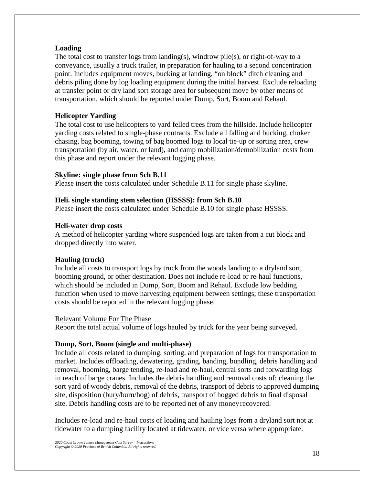# **Loading**

The total cost to transfer logs from landing(s), windrow pile(s), or right-of-way to a conveyance, usually a truck trailer, in preparation for hauling to a second concentration point. Includes equipment moves, bucking at landing, "on block" ditch cleaning and debris piling done by log loading equipment during the initial harvest. Exclude reloading at transfer point or dry land sort storage area for subsequent move by other means of transportation, which should be reported under Dump, Sort, Boom and Rehaul.

# **Helicopter Yarding**

The total cost to use helicopters to yard felled trees from the hillside. Include helicopter yarding costs related to single-phase contracts. Exclude all falling and bucking, choker chasing, bag booming, towing of bag boomed logs to local tie-up or sorting area, crew transportation (by air, water, or land), and camp mobilization/demobilization costs from this phase and report under the relevant logging phase.

#### **Skyline: single phase from Sch B.11**

Please insert the costs calculated under Schedule B.11 for single phase skyline.

### **Heli. single standing stem selection (HSSSS): from Sch B.10**

Please insert the costs calculated under Schedule B.10 for single phase HSSSS.

### **Heli-water drop costs**

A method of helicopter yarding where suspended logs are taken from a cut block and dropped directly into water.

# **Hauling (truck)**

Include all costs to transport logs by truck from the woods landing to a dryland sort, booming ground, or other destination. Does not include re-load or re-haul functions, which should be included in Dump, Sort, Boom and Rehaul. Exclude low bedding function when used to move harvesting equipment between settings; these transportation costs should be reported in the relevant logging phase.

#### Relevant Volume For The Phase

Report the total actual volume of logs hauled by truck for the year being surveyed.

#### **Dump, Sort, Boom (single and multi-phase)**

Include all costs related to dumping, sorting, and preparation of logs for transportation to market. Includes offloading, dewatering, grading, banding, bundling, debris handling and removal, booming, barge tending, re-load and re-haul, central sorts and forwarding logs in reach of barge cranes. Includes the debris handling and removal costs of: cleaning the sort yard of woody debris, removal of the debris, transport of debris to approved dumping site, disposition (bury/burn/hog) of debris, transport of hogged debris to final disposal site. Debris handling costs are to be reported net of any moneyrecovered.

Includes re-load and re-haul costs of loading and hauling logs from a dryland sort not at tidewater to a dumping facility located at tidewater, or vice versa where appropriate.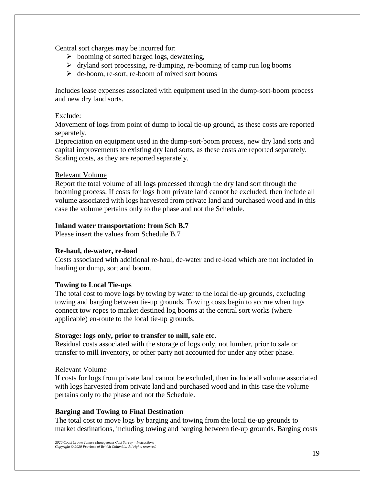Central sort charges may be incurred for:

- $\triangleright$  booming of sorted barged logs, dewatering,
- $\triangleright$  dryland sort processing, re-dumping, re-booming of camp run log booms
- $\triangleright$  de-boom, re-sort, re-boom of mixed sort booms

Includes lease expenses associated with equipment used in the dump-sort-boom process and new dry land sorts.

# Exclude:

Movement of logs from point of dump to local tie-up ground, as these costs are reported separately.

Depreciation on equipment used in the dump-sort-boom process, new dry land sorts and capital improvements to existing dry land sorts, as these costs are reported separately. Scaling costs, as they are reported separately.

### Relevant Volume

Report the total volume of all logs processed through the dry land sort through the booming process. If costs for logs from private land cannot be excluded, then include all volume associated with logs harvested from private land and purchased wood and in this case the volume pertains only to the phase and not the Schedule.

# **Inland water transportation: from Sch B.7**

Please insert the values from Schedule B.7

# **Re-haul, de-water, re-load**

Costs associated with additional re-haul, de-water and re-load which are not included in hauling or dump, sort and boom.

# **Towing to Local Tie-ups**

The total cost to move logs by towing by water to the local tie-up grounds, excluding towing and barging between tie-up grounds. Towing costs begin to accrue when tugs connect tow ropes to market destined log booms at the central sort works (where applicable) en-route to the local tie-up grounds.

# **Storage: logs only, prior to transfer to mill, sale etc.**

Residual costs associated with the storage of logs only, not lumber, prior to sale or transfer to mill inventory, or other party not accounted for under any other phase.

#### Relevant Volume

If costs for logs from private land cannot be excluded, then include all volume associated with logs harvested from private land and purchased wood and in this case the volume pertains only to the phase and not the Schedule.

# **Barging and Towing to Final Destination**

The total cost to move logs by barging and towing from the local tie-up grounds to market destinations, including towing and barging between tie-up grounds. Barging costs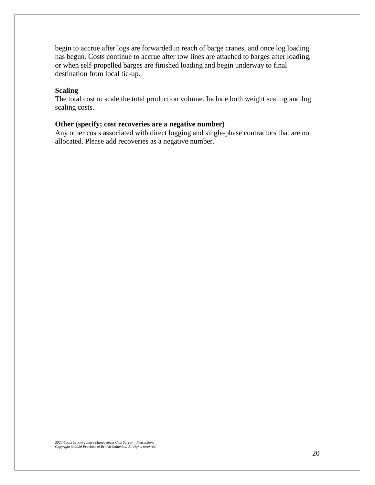begin to accrue after logs are forwarded in reach of barge cranes, and once log loading has begun. Costs continue to accrue after tow lines are attached to barges after loading, or when self-propelled barges are finished loading and begin underway to final destination from local tie-up.

#### **Scaling**

The total cost to scale the total production volume. Include both weight scaling and log scaling costs.

# **Other (specify; cost recoveries are a negative number)**

Any other costs associated with direct logging and single-phase contractors that are not allocated. Please add recoveries as a negative number.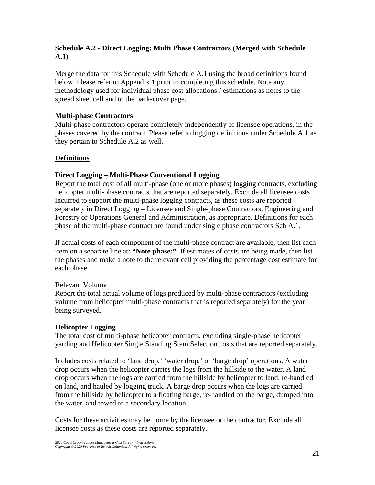# **Schedule A.2 - Direct Logging: Multi Phase Contractors (Merged with Schedule A.1)**

Merge the data for this Schedule with Schedule A.1 using the broad definitions found below. Please refer to Appendix 1 prior to completing this schedule. Note any methodology used for individual phase cost allocations / estimations as notes to the spread sheet cell and to the back-cover page.

# **Multi-phase Contractors**

Multi-phase contractors operate completely independently of licensee operations, in the phases covered by the contract. Please refer to logging definitions under Schedule A.1 as they pertain to Schedule A.2 as well.

# **Definitions**

# **Direct Logging – Multi-Phase Conventional Logging**

Report the total cost of all multi-phase (one or more phases) logging contracts, excluding helicopter multi-phase contracts that are reported separately. Exclude all licensee costs incurred to support the multi-phase logging contracts, as these costs are reported separately in Direct Logging – Licensee and Single-phase Contractors, Engineering and Forestry or Operations General and Administration, as appropriate. Definitions for each phase of the multi-phase contract are found under single phase contractors Sch A.1.

If actual costs of each component of the multi-phase contract are available, then list each item on a separate line at: **"Note phase:"**. If estimates of costs are being made, then list the phases and make a note to the relevant cell providing the percentage cost estimate for each phase.

# Relevant Volume

Report the total actual volume of logs produced by multi-phase contractors (excluding volume from helicopter multi-phase contracts that is reported separately) for the year being surveyed.

# **Helicopter Logging**

The total cost of multi-phase helicopter contracts, excluding single-phase helicopter yarding and Helicopter Single Standing Stem Selection costs that are reported separately.

Includes costs related to 'land drop,' 'water drop,' or 'barge drop' operations. A water drop occurs when the helicopter carries the logs from the hillside to the water. A land drop occurs when the logs are carried from the hillside by helicopter to land, re-handled on land, and hauled by logging truck. A barge drop occurs when the logs are carried from the hillside by helicopter to a floating barge, re-handled on the barge, dumped into the water, and towed to a secondary location.

Costs for these activities may be borne by the licensee or the contractor. Exclude all licensee costs as these costs are reported separately.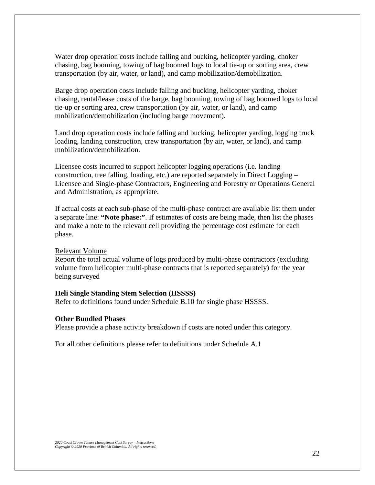Water drop operation costs include falling and bucking, helicopter yarding, choker chasing, bag booming, towing of bag boomed logs to local tie-up or sorting area, crew transportation (by air, water, or land), and camp mobilization/demobilization.

Barge drop operation costs include falling and bucking, helicopter yarding, choker chasing, rental/lease costs of the barge, bag booming, towing of bag boomed logs to local tie-up or sorting area, crew transportation (by air, water, or land), and camp mobilization/demobilization (including barge movement).

Land drop operation costs include falling and bucking, helicopter yarding, logging truck loading, landing construction, crew transportation (by air, water, or land), and camp mobilization/demobilization.

Licensee costs incurred to support helicopter logging operations (i.e. landing construction, tree falling, loading, etc.) are reported separately in Direct Logging – Licensee and Single-phase Contractors, Engineering and Forestry or Operations General and Administration, as appropriate.

If actual costs at each sub-phase of the multi-phase contract are available list them under a separate line: **"Note phase:"**. If estimates of costs are being made, then list the phases and make a note to the relevant cell providing the percentage cost estimate for each phase.

#### Relevant Volume

Report the total actual volume of logs produced by multi-phase contractors (excluding volume from helicopter multi-phase contracts that is reported separately) for the year being surveyed

#### **Heli Single Standing Stem Selection (HSSSS)**

Refer to definitions found under Schedule B.10 for single phase HSSSS.

#### **Other Bundled Phases**

Please provide a phase activity breakdown if costs are noted under this category.

For all other definitions please refer to definitions under Schedule A.1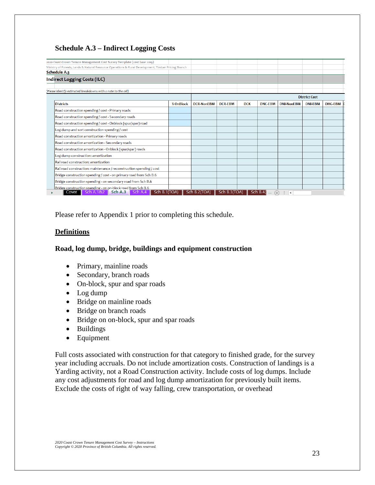# **Schedule A.3 – Indirect Logging Costs**

| 2020 Coast Crown Tenure Management Cost Survey Template (cost base 2019)                            |           |                   |                |            |                |                   |                      |                |
|-----------------------------------------------------------------------------------------------------|-----------|-------------------|----------------|------------|----------------|-------------------|----------------------|----------------|
| Ministry of Forests, Lands & Natural Resource Operations & Rural Development, Timber Pricing Branch |           |                   |                |            |                |                   |                      |                |
| Schedule A.3                                                                                        |           |                   |                |            |                |                   |                      |                |
| Indirect Logging Costs (ILC)                                                                        |           |                   |                |            |                |                   |                      |                |
|                                                                                                     |           |                   |                |            |                |                   |                      |                |
| (Please identify estimated breakdowns with a note to the cell)                                      |           |                   |                |            |                |                   |                      |                |
|                                                                                                     |           |                   |                |            |                |                   | <b>District Cost</b> |                |
| <b>Districts</b>                                                                                    | % OnBlock | <b>DCR-NonEBM</b> | <b>DCR-EBM</b> | <b>DCK</b> | <b>DNC-EBM</b> | <b>DNI-NonEBM</b> | <b>DNI-EBM</b>       | <b>DHG-EBM</b> |
| Road construction spending / cost - Primary roads                                                   |           |                   |                |            |                |                   |                      |                |
| Road construction spending / cost - Secondary roads                                                 |           |                   |                |            |                |                   |                      |                |
| Road construction spending / cost - Onblock (spur/spar) road                                        |           |                   |                |            |                |                   |                      |                |
| Log dump and sort construction spending / cost                                                      |           |                   |                |            |                |                   |                      |                |
| Road construction amortization - Primary roads                                                      |           |                   |                |            |                |                   |                      |                |
| Road construction amortization - Secondary roads                                                    |           |                   |                |            |                |                   |                      |                |
| Road construction amortization - Onblock (spur/spar) roads                                          |           |                   |                |            |                |                   |                      |                |
| Log dump construction: amortization                                                                 |           |                   |                |            |                |                   |                      |                |
| Rail road construction: amortization                                                                |           |                   |                |            |                |                   |                      |                |
| Rail road construction: maintenance / reconstruction spending / cost                                |           |                   |                |            |                |                   |                      |                |
| Bridge construction spending / cost - on primary road from Sch B.6                                  |           |                   |                |            |                |                   |                      |                |
| Bridge construction spending - on secondary road from Sch B.6                                       |           |                   |                |            |                |                   |                      |                |
| Bridge construction spending - on on-block road from Sch B.6                                        |           |                   |                |            |                |                   |                      |                |

Please refer to Appendix 1 prior to completing this schedule.

# **Definitions**

# **Road, log dump, bridge, buildings and equipment construction**

- Primary, mainline roads
- Secondary, branch roads
- On-block, spur and spar roads
- Log dump
- Bridge on mainline roads
- Bridge on branch roads
- Bridge on on-block, spur and spar roads
- Buildings
- Equipment

Full costs associated with construction for that category to finished grade, for the survey year including accruals. Do not include amortization costs. Construction of landings is a Yarding activity, not a Road Construction activity. Include costs of log dumps. Include any cost adjustments for road and log dump amortization for previously built items. Exclude the costs of right of way falling, crew transportation, or overhead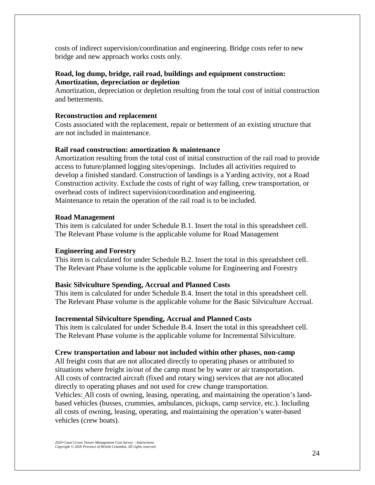costs of indirect supervision/coordination and engineering. Bridge costs refer to new bridge and new approach works costs only.

# **Road, log dump, bridge, rail road, buildings and equipment construction: Amortization, depreciation or depletion**

Amortization, depreciation or depletion resulting from the total cost of initial construction and betterments.

# **Reconstruction and replacement**

Costs associated with the replacement, repair or betterment of an existing structure that are not included in maintenance.

# **Rail road construction: amortization & maintenance**

Amortization resulting from the total cost of initial construction of the rail road to provide access to future/planned logging sites/openings. Includes all activities required to develop a finished standard. Construction of landings is a Yarding activity, not a Road Construction activity. Exclude the costs of right of way falling, crew transportation, or overhead costs of indirect supervision/coordination and engineering. Maintenance to retain the operation of the rail road is to be included.

# **Road Management**

This item is calculated for under Schedule B.1. Insert the total in this spreadsheet cell. The Relevant Phase volume is the applicable volume for Road Management

# **Engineering and Forestry**

This item is calculated for under Schedule B.2. Insert the total in this spreadsheet cell. The Relevant Phase volume is the applicable volume for Engineering and Forestry

# **Basic Silviculture Spending, Accrual and Planned Costs**

This item is calculated for under Schedule B.4. Insert the total in this spreadsheet cell. The Relevant Phase volume is the applicable volume for the Basic Silviculture Accrual.

# **Incremental Silviculture Spending, Accrual and Planned Costs**

This item is calculated for under Schedule B.4. Insert the total in this spreadsheet cell. The Relevant Phase volume is the applicable volume for Incremental Silviculture.

# **Crew transportation and labour not included within other phases, non-camp**

All freight costs that are not allocated directly to operating phases or attributed to situations where freight in/out of the camp must be by water or air transportation. All costs of contracted aircraft (fixed and rotary wing) services that are not allocated directly to operating phases and not used for crew change transportation. Vehicles: All costs of owning, leasing, operating, and maintaining the operation's landbased vehicles (busses, crummies, ambulances, pickups, camp service, etc.). Including all costs of owning, leasing, operating, and maintaining the operation's water-based vehicles (crew boats).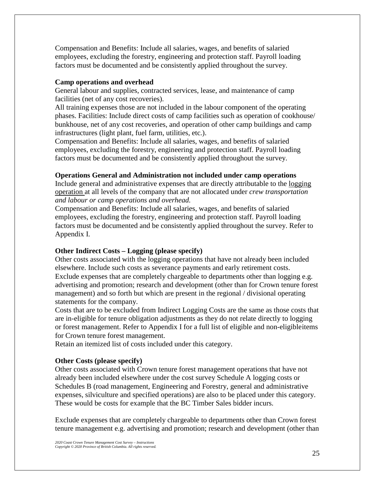Compensation and Benefits: Include all salaries, wages, and benefits of salaried employees, excluding the forestry, engineering and protection staff. Payroll loading factors must be documented and be consistently applied throughout the survey.

# **Camp operations and overhead**

General labour and supplies, contracted services, lease, and maintenance of camp facilities (net of any cost recoveries).

All training expenses those are not included in the labour component of the operating phases. Facilities: Include direct costs of camp facilities such as operation of cookhouse/ bunkhouse, net of any cost recoveries, and operation of other camp buildings and camp infrastructures (light plant, fuel farm, utilities, etc.).

Compensation and Benefits: Include all salaries, wages, and benefits of salaried employees, excluding the forestry, engineering and protection staff. Payroll loading factors must be documented and be consistently applied throughout the survey.

# **Operations General and Administration not included under camp operations**

Include general and administrative expenses that are directly attributable to the logging operation at all levels of the company that are not allocated under *crew transportation and labour or camp operations and overhead.*

Compensation and Benefits: Include all salaries, wages, and benefits of salaried employees, excluding the forestry, engineering and protection staff. Payroll loading factors must be documented and be consistently applied throughout the survey. Refer to Appendix I.

# **Other Indirect Costs – Logging (please specify)**

Other costs associated with the logging operations that have not already been included elsewhere. Include such costs as severance payments and early retirement costs. Exclude expenses that are completely chargeable to departments other than logging e.g. advertising and promotion; research and development (other than for Crown tenure forest management) and so forth but which are present in the regional / divisional operating statements for the company.

Costs that are to be excluded from Indirect Logging Costs are the same as those costs that are in-eligible for tenure obligation adjustments as they do not relate directly to logging or forest management. Refer to Appendix I for a full list of eligible and non-eligibleitems for Crown tenure forest management.

Retain an itemized list of costs included under this category.

# **Other Costs (please specify)**

Other costs associated with Crown tenure forest management operations that have not already been included elsewhere under the cost survey Schedule A logging costs or Schedules B (road management, Engineering and Forestry, general and administrative expenses, silviculture and specified operations) are also to be placed under this category. These would be costs for example that the BC Timber Sales bidder incurs.

Exclude expenses that are completely chargeable to departments other than Crown forest tenure management e.g. advertising and promotion; research and development (other than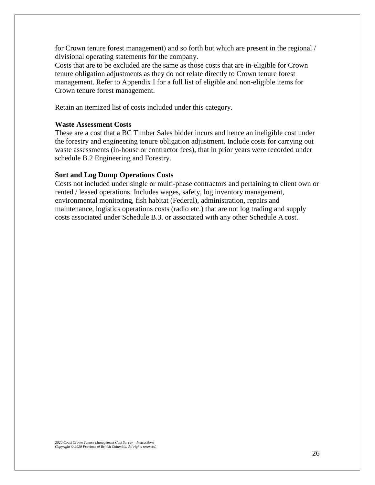for Crown tenure forest management) and so forth but which are present in the regional / divisional operating statements for the company.

Costs that are to be excluded are the same as those costs that are in-eligible for Crown tenure obligation adjustments as they do not relate directly to Crown tenure forest management. Refer to Appendix I for a full list of eligible and non-eligible items for Crown tenure forest management.

Retain an itemized list of costs included under this category.

#### **Waste Assessment Costs**

These are a cost that a BC Timber Sales bidder incurs and hence an ineligible cost under the forestry and engineering tenure obligation adjustment. Include costs for carrying out waste assessments (in-house or contractor fees), that in prior years were recorded under schedule B.2 Engineering and Forestry.

#### **Sort and Log Dump Operations Costs**

Costs not included under single or multi-phase contractors and pertaining to client own or rented / leased operations. Includes wages, safety, log inventory management, environmental monitoring, fish habitat (Federal), administration, repairs and maintenance, logistics operations costs (radio etc.) that are not log trading and supply costs associated under Schedule B.3. or associated with any other Schedule A cost.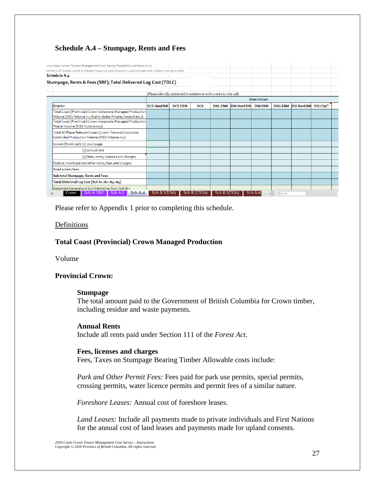# **Schedule A.4 – Stumpage, Rents and Fees**

| 2020 Coast Crown Tenure Management Cost Survey Template (cost base 2019)                                                   |                                                                |                      |              |                |                   |                |                      |                   |           |  |  |
|----------------------------------------------------------------------------------------------------------------------------|----------------------------------------------------------------|----------------------|--------------|----------------|-------------------|----------------|----------------------|-------------------|-----------|--|--|
| Ministry of Forests, Lands & Natural Resource Operations & Rural Development, Timber Pricing Branch                        |                                                                |                      |              |                |                   |                |                      |                   |           |  |  |
| <b>Schedule A.4</b>                                                                                                        |                                                                |                      |              |                |                   |                |                      |                   |           |  |  |
| Stumpage, Rents & Fees (SRF); Total Delivered Log Cost (TDLC)                                                              |                                                                |                      |              |                |                   |                |                      |                   |           |  |  |
|                                                                                                                            | (Please identify estimated breakdowns with a note to the cell) |                      |              |                |                   |                |                      |                   |           |  |  |
|                                                                                                                            |                                                                | <b>District Cost</b> |              |                |                   |                |                      |                   |           |  |  |
| District                                                                                                                   | <b>DCR-NonEBM</b>                                              | <b>DCR-EBM</b>       | <b>DCK</b>   | <b>DNC-EBM</b> | <b>DNI-NonEBM</b> | <b>DNI-EBM</b> | <b>DHG-EBM</b>       | <b>DSI-NonEBM</b> | DSI-Clay^ |  |  |
| Total Coast (Provincial) Crown Corporate Managed Production<br>Volume (HBS Volume m3 that includes Private, Federal etc.): |                                                                |                      |              |                |                   |                |                      |                   |           |  |  |
| Total Coast (Provincial) Crown Corporate Managed Production<br>Waste Volume (HBS Volume m3):                               |                                                                |                      |              |                |                   |                |                      |                   |           |  |  |
| Total All Phase Relevant Coast (Crown Tenure) Corporate<br>Controlled Production Volume (HBS Volume m3)                    |                                                                |                      |              |                |                   |                |                      |                   |           |  |  |
| Crown (Provincial): (1) stumpage                                                                                           |                                                                |                      |              |                |                   |                |                      |                   |           |  |  |
| (2) annual rent                                                                                                            |                                                                |                      |              |                |                   |                |                      |                   |           |  |  |
| (3) fees, rents, licenses and charges                                                                                      |                                                                |                      |              |                |                   |                |                      |                   |           |  |  |
| Federal, municipal and other rents, fees and charges                                                                       |                                                                |                      |              |                |                   |                |                      |                   |           |  |  |
| Road access fees                                                                                                           |                                                                |                      |              |                |                   |                |                      |                   |           |  |  |
| Sub-total Stumpage, Rents and Fees                                                                                         |                                                                |                      |              |                |                   |                |                      |                   |           |  |  |
| Total Divisional Log Cost (Sch A1+A2+A3+A4)                                                                                |                                                                |                      |              |                |                   |                |                      |                   |           |  |  |
| Corporate General and Gdministrative: from Sch B.3                                                                         |                                                                |                      |              |                |                   |                |                      |                   |           |  |  |
| Sch A.4<br>Sch A.3<br>Sch A.1&2<br>Cover                                                                                   | Sch B.1(TOA)                                                   |                      | Sch B.2(TOA) | Sch B.3(TOA)   |                   | Sch B.40       | Œ<br>$\overline{14}$ |                   |           |  |  |

Please refer to Appendix 1 prior to completing this schedule.

### **Definitions**

# **Total Coast (Provincial) Crown Managed Production**

Volume

# **Provincial Crown:**

#### **Stumpage**

The total amount paid to the Government of British Columbia for Crown timber, including residue and waste payments.

#### **Annual Rents**

Include all rents paid under Section 111 of the *Forest Act*.

#### **Fees, licenses and charges**

Fees, Taxes on Stumpage Bearing Timber Allowable costs include:

*Park and Other Permit Fees:* Fees paid for park use permits, special permits, crossing permits, water licence permits and permit fees of a similar nature.

*Foreshore Leases:* Annual cost of foreshore leases.

*Land Leases:* Include all payments made to private individuals and First Nations for the annual cost of land leases and payments made for upland consents.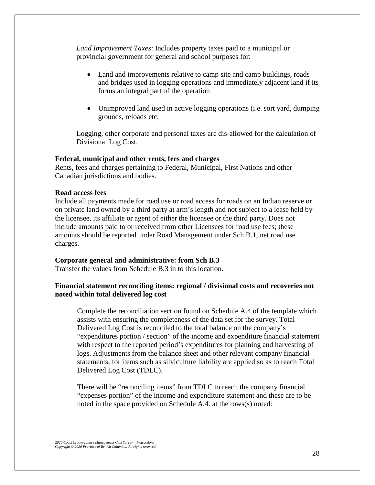*Land Improvement Taxes*: Includes property taxes paid to a municipal or provincial government for general and school purposes for:

- Land and improvements relative to camp site and camp buildings, roads and bridges used in logging operations and immediately adjacent land if its forms an integral part of the operation
- Unimproved land used in active logging operations (i.e. sort yard, dumping grounds, reloads etc.

Logging, other corporate and personal taxes are dis-allowed for the calculation of Divisional Log Cost.

#### **Federal, municipal and other rents, fees and charges**

Rents, fees and charges pertaining to Federal, Municipal, First Nations and other Canadian jurisdictions and bodies.

#### **Road access fees**

Include all payments made for road use or road access for roads on an Indian reserve or on private land owned by a third party at arm's length and not subject to a lease held by the licensee, its affiliate or agent of either the licensee or the third party. Does not include amounts paid to or received from other Licensees for road use fees; these amounts should be reported under Road Management under Sch B.1, net road use charges.

#### **Corporate general and administrative: from Sch B.3**

Transfer the values from Schedule B.3 in to this location.

# **Financial statement reconciling items: regional / divisional costs and recoveries not noted within total delivered log cost**

Complete the reconciliation section found on Schedule A.4 of the template which assists with ensuring the completeness of the data set for the survey. Total Delivered Log Cost is reconciled to the total balance on the company's "expenditures portion / section" of the income and expenditure financial statement with respect to the reported period's expenditures for planning and harvesting of logs. Adjustments from the balance sheet and other relevant company financial statements, for items such as silviculture liability are applied so as to reach Total Delivered Log Cost (TDLC).

There will be "reconciling items" from TDLC to reach the company financial "expenses portion" of the income and expenditure statement and these are to be noted in the space provided on Schedule A.4. at the rows(s) noted: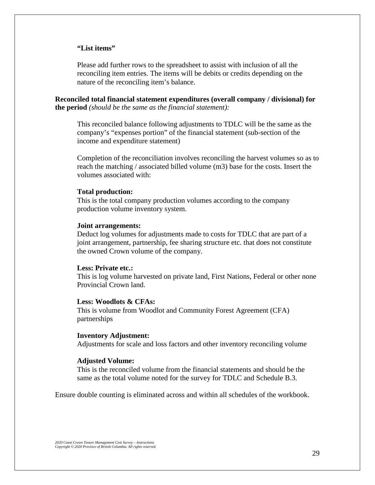#### **"List items"**

Please add further rows to the spreadsheet to assist with inclusion of all the reconciling item entries. The items will be debits or credits depending on the nature of the reconciling item's balance.

**Reconciled total financial statement expenditures (overall company / divisional) for the period** *(should be the same as the financial statement):*

This reconciled balance following adjustments to TDLC will be the same as the company's "expenses portion" of the financial statement (sub-section of the income and expenditure statement)

Completion of the reconciliation involves reconciling the harvest volumes so as to reach the matching / associated billed volume (m3) base for the costs. Insert the volumes associated with:

#### **Total production:**

This is the total company production volumes according to the company production volume inventory system.

#### **Joint arrangements:**

Deduct log volumes for adjustments made to costs for TDLC that are part of a joint arrangement, partnership, fee sharing structure etc. that does not constitute the owned Crown volume of the company.

#### **Less: Private etc.:**

This is log volume harvested on private land, First Nations, Federal or other none Provincial Crown land.

#### **Less: Woodlots & CFAs:**

This is volume from Woodlot and Community Forest Agreement (CFA) partnerships

#### **Inventory Adjustment:**

Adjustments for scale and loss factors and other inventory reconciling volume

#### **Adjusted Volume:**

This is the reconciled volume from the financial statements and should be the same as the total volume noted for the survey for TDLC and Schedule B.3.

Ensure double counting is eliminated across and within all schedules of the workbook.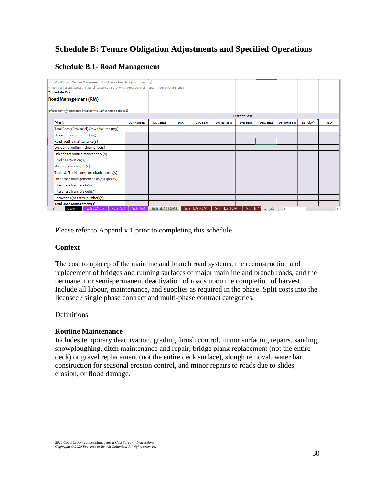# **Schedule B: Tenure Obligation Adjustments and Specified Operations**

# **Schedule B.1- Road Management**

| 2020 Coast Crown Tenure Management Cost Survey Template (cost base 2019)                            |                   |                |            |                |                          |                      |                              |                   |           |            |
|-----------------------------------------------------------------------------------------------------|-------------------|----------------|------------|----------------|--------------------------|----------------------|------------------------------|-------------------|-----------|------------|
| Ministry of Forests, Lands & Natural Resource Operations & Rural Development, Timber Pricing Branch |                   |                |            |                |                          |                      |                              |                   |           |            |
| <b>Schedule B.1</b>                                                                                 |                   |                |            |                |                          |                      |                              |                   |           |            |
| <b>Road Management (RM)</b>                                                                         |                   |                |            |                |                          |                      |                              |                   |           |            |
|                                                                                                     |                   |                |            |                |                          |                      |                              |                   |           |            |
| (Please identify estimated breakdowns with a note to the cell)                                      |                   |                |            |                |                          |                      |                              |                   |           |            |
|                                                                                                     |                   |                |            |                |                          | <b>District Cost</b> |                              |                   |           |            |
| <b>Districts</b>                                                                                    | <b>DCR-NonEBM</b> | <b>DCR-EBM</b> | <b>DCK</b> | <b>DNC-EBM</b> | <b>DNI-NonEBM</b>        | <b>DNI-EBM</b>       | <b>DHG-EBM</b>               | <b>DSI-NonEBM</b> | DSI-Clav^ | <b>DSQ</b> |
| Total Coast (Provincial) Crown Volume (m3)                                                          |                   |                |            |                |                          |                      |                              |                   |           |            |
| Heli-water drop volume(m3)                                                                          |                   |                |            |                |                          |                      |                              |                   |           |            |
| Road routine maintenance(\$)                                                                        |                   |                |            |                |                          |                      |                              |                   |           |            |
| Log dump routine maintenance(\$)                                                                    |                   |                |            |                |                          |                      |                              |                   |           |            |
| Fish habitat routine maintenance(\$)                                                                |                   |                |            |                |                          |                      |                              |                   |           |            |
| Road deactivation(\$)                                                                               |                   |                |            |                |                          |                      |                              |                   |           |            |
| Net road use charges(\$)                                                                            |                   |                |            |                |                          |                      |                              |                   |           |            |
| Travel & First Nations consultation costs(\$)                                                       |                   |                |            |                |                          |                      |                              |                   |           |            |
| Other road management costs(\$) (specify)                                                           |                   |                |            |                |                          |                      |                              |                   |           |            |
| Interphase transfers in(\$)                                                                         |                   |                |            |                |                          |                      |                              |                   |           |            |
| Interphase transfers out(\$)                                                                        |                   |                |            |                |                          |                      |                              |                   |           |            |
| Recoveries (negative number)(\$)                                                                    |                   |                |            |                |                          |                      |                              |                   |           |            |
| Total Road Management(\$)                                                                           |                   |                |            |                |                          |                      |                              |                   |           |            |
| Sch A.1&2    Sch A.3    Sch A.4<br>Cover                                                            |                   | Sch B.1(TOA)   |            | Sch B.2(TOA)   | Sch B.3(TOA) $\parallel$ |                      | <b>Sch B.4(</b> $\oplus$   1 |                   |           | ь          |

Please refer to Appendix 1 prior to completing this schedule.

# **Context**

The cost to upkeep of the mainline and branch road systems, the reconstruction and replacement of bridges and running surfaces of major mainline and branch roads, and the permanent or semi-permanent deactivation of roads upon the completion of harvest. Include all labour, maintenance, and supplies as required in the phase. Split costs into the licensee / single phase contract and multi-phase contract categories.

# **Definitions**

# **Routine Maintenance**

Includes temporary deactivation, grading, brush control, minor surfacing repairs, sanding, snowploughing, ditch maintenance and repair, bridge plank replacement (not the entire deck) or gravel replacement (not the entire deck surface), slough removal, water bar construction for seasonal erosion control, and minor repairs to roads due to slides, erosion, or flood damage.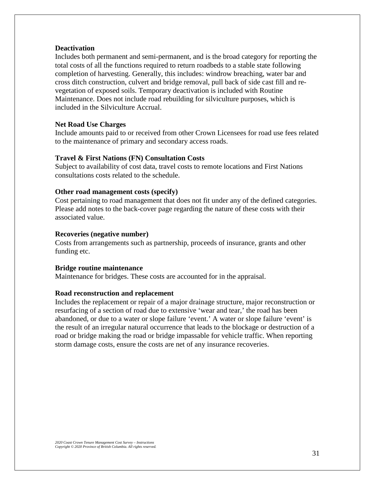#### **Deactivation**

Includes both permanent and semi-permanent, and is the broad category for reporting the total costs of all the functions required to return roadbeds to a stable state following completion of harvesting. Generally, this includes: windrow breaching, water bar and cross ditch construction, culvert and bridge removal, pull back of side cast fill and revegetation of exposed soils. Temporary deactivation is included with Routine Maintenance. Does not include road rebuilding for silviculture purposes, which is included in the Silviculture Accrual.

#### **Net Road Use Charges**

Include amounts paid to or received from other Crown Licensees for road use fees related to the maintenance of primary and secondary access roads.

#### **Travel & First Nations (FN) Consultation Costs**

Subject to availability of cost data, travel costs to remote locations and First Nations consultations costs related to the schedule.

# **Other road management costs (specify)**

Cost pertaining to road management that does not fit under any of the defined categories. Please add notes to the back-cover page regarding the nature of these costs with their associated value.

#### **Recoveries (negative number)**

Costs from arrangements such as partnership, proceeds of insurance, grants and other funding etc.

### **Bridge routine maintenance**

Maintenance for bridges. These costs are accounted for in the appraisal.

#### **Road reconstruction and replacement**

Includes the replacement or repair of a major drainage structure, major reconstruction or resurfacing of a section of road due to extensive 'wear and tear,' the road has been abandoned, or due to a water or slope failure 'event.' A water or slope failure 'event' is the result of an irregular natural occurrence that leads to the blockage or destruction of a road or bridge making the road or bridge impassable for vehicle traffic. When reporting storm damage costs, ensure the costs are net of any insurance recoveries.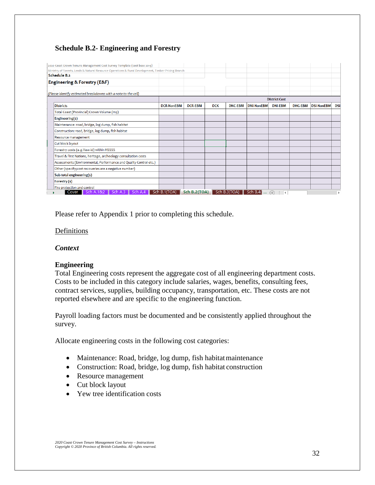# **Schedule B.2- Engineering and Forestry**

| Ministry of Forests, Lands & Natural Resource Operations & Rural Development, Timber Pricing Branch |                   |                |            |                |                   |                      |                |                   |            |
|-----------------------------------------------------------------------------------------------------|-------------------|----------------|------------|----------------|-------------------|----------------------|----------------|-------------------|------------|
| <b>Schedule B.2</b>                                                                                 |                   |                |            |                |                   |                      |                |                   |            |
| Engineering & Forestry (E&F)                                                                        |                   |                |            |                |                   |                      |                |                   |            |
|                                                                                                     |                   |                |            |                |                   |                      |                |                   |            |
| (Please identify estimated breakdowns with a note to the cell)                                      |                   |                |            |                |                   |                      |                |                   |            |
|                                                                                                     |                   |                |            |                |                   | <b>District Cost</b> |                |                   |            |
| <b>Districts</b>                                                                                    | <b>DCR-NonEBM</b> | <b>DCR-EBM</b> | <b>DCK</b> | <b>DNC-EBM</b> | <b>DNI-NonEBM</b> | <b>DNI-EBM</b>       | <b>DHG-EBM</b> | <b>DSI-NonEBM</b> | <b>DSI</b> |
| Total Coast (Provincial) Crown Volume (m3)                                                          |                   |                |            |                |                   |                      |                |                   |            |
| Engineering(\$)                                                                                     |                   |                |            |                |                   |                      |                |                   |            |
| Maintenance: road, bridge, log dump, fish habitat                                                   |                   |                |            |                |                   |                      |                |                   |            |
| Construction: road, bridge, log dump, fish habitat                                                  |                   |                |            |                |                   |                      |                |                   |            |
| Resource management                                                                                 |                   |                |            |                |                   |                      |                |                   |            |
| Cut block layout                                                                                    |                   |                |            |                |                   |                      |                |                   |            |
| Forestry costs (e.g. Yew-id) within HSSSS                                                           |                   |                |            |                |                   |                      |                |                   |            |
| Travel & First Nations, heritage, archeology consultation costs                                     |                   |                |            |                |                   |                      |                |                   |            |
| Assessments (Environmental, Performance and Quality Control etc.)                                   |                   |                |            |                |                   |                      |                |                   |            |
| Other (specify; cost recoveries are a negative number)                                              |                   |                |            |                |                   |                      |                |                   |            |
| Sub-total engineering(\$)                                                                           |                   |                |            |                |                   |                      |                |                   |            |
| Forestry (\$)                                                                                       |                   |                |            |                |                   |                      |                |                   |            |
| Fire protection and control                                                                         |                   |                |            |                |                   |                      |                |                   |            |

Please refer to Appendix 1 prior to completing this schedule.

# Definitions

# *Context*

# **Engineering**

Total Engineering costs represent the aggregate cost of all engineering department costs. Costs to be included in this category include salaries, wages, benefits, consulting fees, contract services, supplies, building occupancy, transportation, etc. These costs are not reported elsewhere and are specific to the engineering function.

Payroll loading factors must be documented and be consistently applied throughout the survey.

Allocate engineering costs in the following cost categories:

- Maintenance: Road, bridge, log dump, fish habitat maintenance
- Construction: Road, bridge, log dump, fish habitat construction
- Resource management
- Cut block layout
- Yew tree identification costs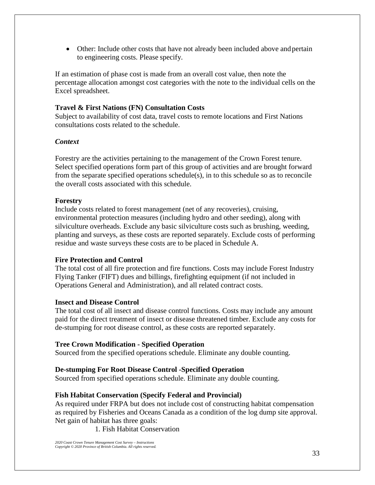• Other: Include other costs that have not already been included above and pertain to engineering costs. Please specify.

If an estimation of phase cost is made from an overall cost value, then note the percentage allocation amongst cost categories with the note to the individual cells on the Excel spreadsheet.

# **Travel & First Nations (FN) Consultation Costs**

Subject to availability of cost data, travel costs to remote locations and First Nations consultations costs related to the schedule.

# *Context*

Forestry are the activities pertaining to the management of the Crown Forest tenure. Select specified operations form part of this group of activities and are brought forward from the separate specified operations schedule(s), in to this schedule so as to reconcile the overall costs associated with this schedule.

# **Forestry**

Include costs related to forest management (net of any recoveries), cruising, environmental protection measures (including hydro and other seeding), along with silviculture overheads. Exclude any basic silviculture costs such as brushing, weeding, planting and surveys, as these costs are reported separately. Exclude costs of performing residue and waste surveys these costs are to be placed in Schedule A.

# **Fire Protection and Control**

The total cost of all fire protection and fire functions. Costs may include Forest Industry Flying Tanker (FIFT) dues and billings, firefighting equipment (if not included in Operations General and Administration), and all related contract costs.

# **Insect and Disease Control**

The total cost of all insect and disease control functions. Costs may include any amount paid for the direct treatment of insect or disease threatened timber. Exclude any costs for de-stumping for root disease control, as these costs are reported separately.

# **Tree Crown Modification - Specified Operation**

Sourced from the specified operations schedule. Eliminate any double counting.

# **De-stumping For Root Disease Control -Specified Operation**

Sourced from specified operations schedule. Eliminate any double counting.

# **Fish Habitat Conservation (Specify Federal and Provincial)**

As required under FRPA but does not include cost of constructing habitat compensation as required by Fisheries and Oceans Canada as a condition of the log dump site approval. Net gain of habitat has three goals:

1. Fish Habitat Conservation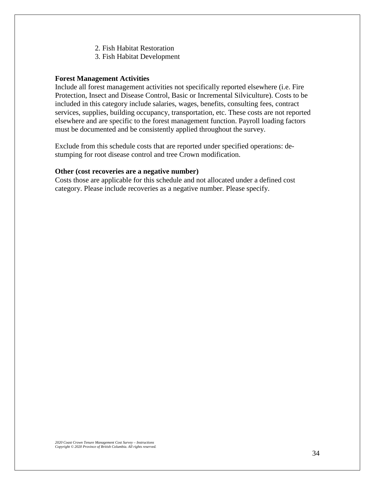- 2. Fish Habitat Restoration
- 3. Fish Habitat Development

#### **Forest Management Activities**

Include all forest management activities not specifically reported elsewhere (i.e. Fire Protection, Insect and Disease Control, Basic or Incremental Silviculture). Costs to be included in this category include salaries, wages, benefits, consulting fees, contract services, supplies, building occupancy, transportation, etc. These costs are not reported elsewhere and are specific to the forest management function. Payroll loading factors must be documented and be consistently applied throughout the survey.

Exclude from this schedule costs that are reported under specified operations: destumping for root disease control and tree Crown modification.

#### **Other (cost recoveries are a negative number)**

Costs those are applicable for this schedule and not allocated under a defined cost category. Please include recoveries as a negative number. Please specify.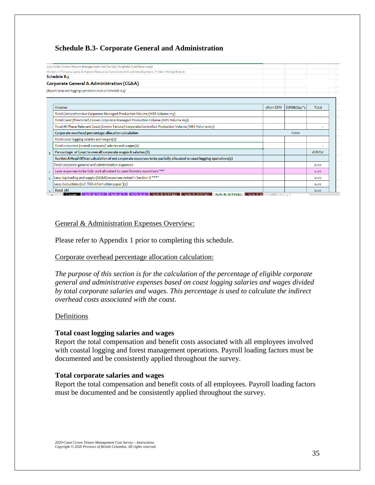# **Schedule B.3- Corporate General and Administration**

| 2020 Coast Crown Tenure Management Cost Survey Template (cost base 2019)                                               |          |             |         |
|------------------------------------------------------------------------------------------------------------------------|----------|-------------|---------|
| Ministry of Forests, Lands & Natural Resource Operations & Rural Development, Timber Pricing Branch                    |          |             |         |
| Schedule B.3                                                                                                           |          |             |         |
| Corporate General & Administration (CG&A)                                                                              |          |             |         |
| (Report camp and logging operations costs on Schedule A.3)                                                             |          |             |         |
|                                                                                                                        |          |             |         |
| Volume:                                                                                                                | εNon-EBM | EBM&Clay^\$ | Total   |
| Total Comprehensive Corporate Managed Production Volume (HBS Volume m3)                                                |          |             |         |
| Total Coast (Provincial) Crown Corporate Managed Production Volume (HBS Volume m3):                                    |          |             |         |
| Total All Phase Relevant Coast (Crown Tenure) Corporate Controlled Production Volume (HBS Volume m3)                   |          |             |         |
| Corporate overhead percentage allocation calculation                                                                   |          | Costs       |         |
| Total coast logging salaries and wages(\$)                                                                             |          |             |         |
| Total corporate (overall company) salaries and wages(\$)                                                               |          |             |         |
| Percentage of Coast to overall corporate wages & salaries (%)                                                          |          |             | #DIV/o! |
| Section A Head Office: calculation of net corporate expenses to be partially allocated to coast logging operations(\$) |          |             |         |
| Total corporate general and administrative expenses                                                                    |          |             | 0.00    |
| Less: expenses to be fully 100% allocated to coast forestry operations "*"                                             |          |             | 0.00    |
| Less: log trading and supply (SG&A) expenses noted in Section B "**"<br>$\overline{2}$                                 |          |             | 0.00    |
| Less: deductions (ref: TOA information paper )(\$)                                                                     |          |             | 0.00    |
| Total (A)                                                                                                              |          |             | 0.00    |

### General & Administration Expenses Overview:

Please refer to Appendix 1 prior to completing this schedule.

#### Corporate overhead percentage allocation calculation:

*The purpose of this section is for the calculation of the percentage of eligible corporate general and administrative expenses based on coast logging salaries and wages divided by total corporate salaries and wages. This percentage is used to calculate the indirect overhead costs associated with the coast.*

#### Definitions

# **Total coast logging salaries and wages**

Report the total compensation and benefit costs associated with all employees involved with coastal logging and forest management operations. Payroll loading factors must be documented and be consistently applied throughout the survey.

#### **Total corporate salaries and wages**

Report the total compensation and benefit costs of all employees. Payroll loading factors must be documented and be consistently applied throughout the survey.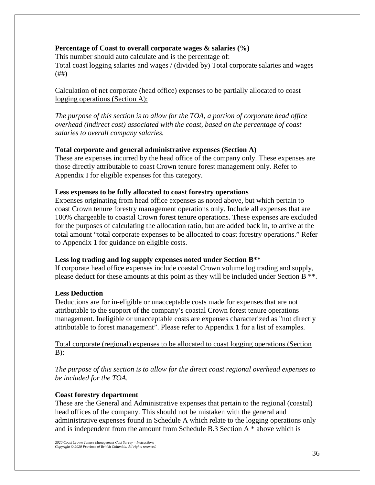# **Percentage of Coast to overall corporate wages & salaries (%)**

This number should auto calculate and is the percentage of: Total coast logging salaries and wages / (divided by) Total corporate salaries and wages (##)

Calculation of net corporate (head office) expenses to be partially allocated to coast logging operations (Section A):

*The purpose of this section is to allow for the TOA, a portion of corporate head office overhead (indirect cost) associated with the coast, based on the percentage of coast salaries to overall company salaries.*

### **Total corporate and general administrative expenses (Section A)**

These are expenses incurred by the head office of the company only. These expenses are those directly attributable to coast Crown tenure forest management only. Refer to Appendix I for eligible expenses for this category.

### **Less expenses to be fully allocated to coast forestry operations**

Expenses originating from head office expenses as noted above, but which pertain to coast Crown tenure forestry management operations only. Include all expenses that are 100% chargeable to coastal Crown forest tenure operations. These expenses are excluded for the purposes of calculating the allocation ratio, but are added back in, to arrive at the total amount "total corporate expenses to be allocated to coast forestry operations." Refer to Appendix 1 for guidance on eligible costs.

# **Less log trading and log supply expenses noted under Section B\*\***

If corporate head office expenses include coastal Crown volume log trading and supply, please deduct for these amounts at this point as they will be included under Section B \*\*.

# **Less Deduction**

Deductions are for in-eligible or unacceptable costs made for expenses that are not attributable to the support of the company's coastal Crown forest tenure operations management. Ineligible or unacceptable costs are expenses characterized as "not directly attributable to forest management". Please refer to Appendix 1 for a list of examples.

# Total corporate (regional) expenses to be allocated to coast logging operations (Section  $B)$ :

*The purpose of this section is to allow for the direct coast regional overhead expenses to be included for the TOA.*

#### **Coast forestry department**

These are the General and Administrative expenses that pertain to the regional (coastal) head offices of the company. This should not be mistaken with the general and administrative expenses found in Schedule A which relate to the logging operations only and is independent from the amount from Schedule B.3 Section A \* above which is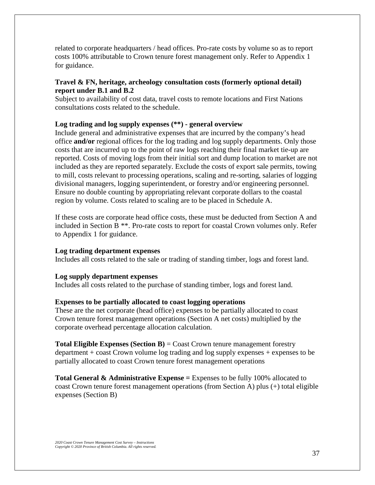related to corporate headquarters / head offices. Pro-rate costs by volume so as to report costs 100% attributable to Crown tenure forest management only. Refer to Appendix 1 for guidance.

# **Travel & FN, heritage, archeology consultation costs (formerly optional detail) report under B.1 and B.2**

Subject to availability of cost data, travel costs to remote locations and First Nations consultations costs related to the schedule.

# **Log trading and log supply expenses (\*\*) - general overview**

Include general and administrative expenses that are incurred by the company's head office **and/or** regional offices for the log trading and log supply departments. Only those costs that are incurred up to the point of raw logs reaching their final market tie-up are reported. Costs of moving logs from their initial sort and dump location to market are not included as they are reported separately. Exclude the costs of export sale permits, towing to mill, costs relevant to processing operations, scaling and re-sorting, salaries of logging divisional managers, logging superintendent, or forestry and/or engineering personnel. Ensure no double counting by appropriating relevant corporate dollars to the coastal region by volume. Costs related to scaling are to be placed in Schedule A.

If these costs are corporate head office costs, these must be deducted from Section A and included in Section B \*\*. Pro-rate costs to report for coastal Crown volumes only. Refer to Appendix 1 for guidance.

#### **Log trading department expenses**

Includes all costs related to the sale or trading of standing timber, logs and forest land.

#### **Log supply department expenses**

Includes all costs related to the purchase of standing timber, logs and forest land.

#### **Expenses to be partially allocated to coast logging operations**

These are the net corporate (head office) expenses to be partially allocated to coast Crown tenure forest management operations (Section A net costs) multiplied by the corporate overhead percentage allocation calculation.

**Total Eligible Expenses (Section B) = Coast Crown tenure management forestry** department + coast Crown volume log trading and log supply expenses + expenses to be partially allocated to coast Crown tenure forest management operations

**Total General & Administrative Expense =** Expenses to be fully 100% allocated to coast Crown tenure forest management operations (from Section A) plus (+) total eligible expenses (Section B)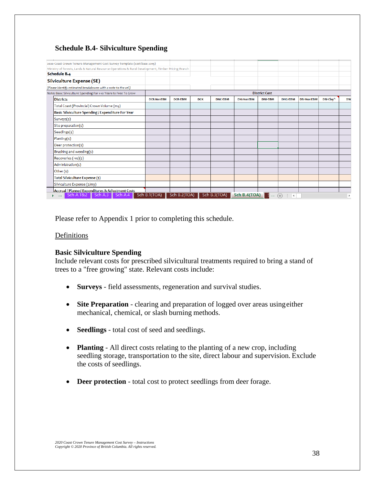# **Schedule B.4- Silviculture Spending**

| 2020 Coast Crown Tenure Management Cost Survey Template (cost base 2019)                            |                      |                |            |                |                                                          |                |                                                     |                   |           |                 |  |
|-----------------------------------------------------------------------------------------------------|----------------------|----------------|------------|----------------|----------------------------------------------------------|----------------|-----------------------------------------------------|-------------------|-----------|-----------------|--|
| Ministry of Forests, Lands & Natural Resource Operations & Rural Development, Timber Pricing Branch |                      |                |            |                |                                                          |                |                                                     |                   |           |                 |  |
| Schedule B.4                                                                                        |                      |                |            |                |                                                          |                |                                                     |                   |           |                 |  |
| Silviculture Expense (SE)                                                                           |                      |                |            |                |                                                          |                |                                                     |                   |           |                 |  |
| (Please identify estimated breakdowns with a note to the cell)                                      |                      |                |            |                |                                                          |                |                                                     |                   |           |                 |  |
| Note: Basic Silviculture Spending For 1-10 Years to Free To Grow                                    | <b>District Cost</b> |                |            |                |                                                          |                |                                                     |                   |           |                 |  |
| <b>Districts</b>                                                                                    | <b>DCR-NonEBM</b>    | <b>DCR-EBM</b> | <b>DCK</b> | <b>DNC-EBM</b> | <b>DNI-NonEBM</b>                                        | <b>DNI-EBM</b> | <b>DHG-EBM</b>                                      | <b>DSI-NonEBM</b> | DSI-Clay^ | DS <sub>C</sub> |  |
| Total Coast (Provincial) Crown Volume (m3)                                                          |                      |                |            |                |                                                          |                |                                                     |                   |           |                 |  |
| Basic Silviculture Spending / Expenditure For Year                                                  |                      |                |            |                |                                                          |                |                                                     |                   |           |                 |  |
| Surveys(\$)                                                                                         |                      |                |            |                |                                                          |                |                                                     |                   |           |                 |  |
| Site preparation(\$)                                                                                |                      |                |            |                |                                                          |                |                                                     |                   |           |                 |  |
| Seedlings(\$)                                                                                       |                      |                |            |                |                                                          |                |                                                     |                   |           |                 |  |
| Planting(\$)                                                                                        |                      |                |            |                |                                                          |                |                                                     |                   |           |                 |  |
| Deer protection(\$)                                                                                 |                      |                |            |                |                                                          |                |                                                     |                   |           |                 |  |
| Brushing and weeding(\$)                                                                            |                      |                |            |                |                                                          |                |                                                     |                   |           |                 |  |
| Recoveries (-ve)(\$)                                                                                |                      |                |            |                |                                                          |                |                                                     |                   |           |                 |  |
| Administration(\$)                                                                                  |                      |                |            |                |                                                          |                |                                                     |                   |           |                 |  |
| Other (\$)                                                                                          |                      |                |            |                |                                                          |                |                                                     |                   |           |                 |  |
| Total Silviculture Expense (\$)                                                                     |                      |                |            |                |                                                          |                |                                                     |                   |           |                 |  |
| Silviculture Expense (\$/m3)                                                                        |                      |                |            |                |                                                          |                |                                                     |                   |           |                 |  |
| Accrual / Planned Expenditures & Adiustment Costs                                                   |                      |                |            |                |                                                          |                |                                                     |                   |           |                 |  |
| Sch A.182<br>Sch A.4<br>-Sch A.3<br><b>E</b>                                                        | Sch B.1(TOA)         | Sch B.2(TOA)   |            | Sch B.3(TOA)   | Sch B.4(TOA) $\begin{array}{ c c }\n\hline\n\end{array}$ |                | $\left( \widehat{+}\right)$<br>$\blacktriangleleft$ |                   |           |                 |  |

Please refer to Appendix 1 prior to completing this schedule.

### **Definitions**

#### **Basic Silviculture Spending**

Include relevant costs for prescribed silvicultural treatments required to bring a stand of trees to a "free growing" state. Relevant costs include:

- **Surveys**  field assessments, regeneration and survival studies.
- **Site Preparation** clearing and preparation of logged over areas using either mechanical, chemical, or slash burning methods.
- **Seedlings**  total cost of seed and seedlings.
- **Planting** All direct costs relating to the planting of a new crop, including seedling storage, transportation to the site, direct labour and supervision. Exclude the costs of seedlings.
- **Deer protection** total cost to protect seedlings from deer forage.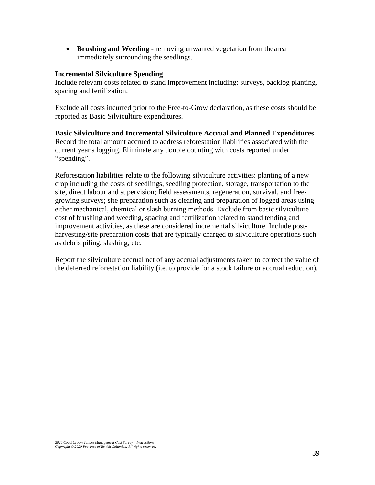• **Brushing and Weeding** - removing unwanted vegetation from thearea immediately surrounding the seedlings.

#### **Incremental Silviculture Spending**

Include relevant costs related to stand improvement including: surveys, backlog planting, spacing and fertilization.

Exclude all costs incurred prior to the Free-to-Grow declaration, as these costs should be reported as Basic Silviculture expenditures.

**Basic Silviculture and Incremental Silviculture Accrual and Planned Expenditures**  Record the total amount accrued to address reforestation liabilities associated with the current year's logging. Eliminate any double counting with costs reported under "spending".

Reforestation liabilities relate to the following silviculture activities: planting of a new crop including the costs of seedlings, seedling protection, storage, transportation to the site, direct labour and supervision; field assessments, regeneration, survival, and freegrowing surveys; site preparation such as clearing and preparation of logged areas using either mechanical, chemical or slash burning methods. Exclude from basic silviculture cost of brushing and weeding, spacing and fertilization related to stand tending and improvement activities, as these are considered incremental silviculture. Include postharvesting/site preparation costs that are typically charged to silviculture operations such as debris piling, slashing, etc.

Report the silviculture accrual net of any accrual adjustments taken to correct the value of the deferred reforestation liability (i.e. to provide for a stock failure or accrual reduction).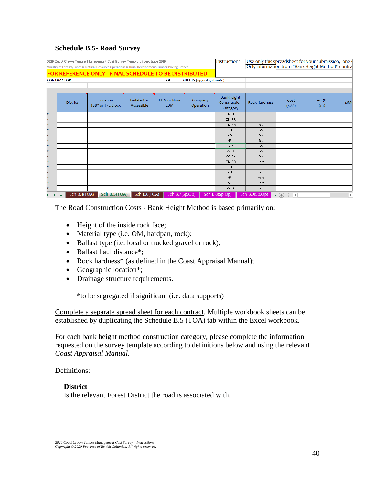#### **Schedule B.5- Road Survey**

|                    |                          | 2020 Coast Crown Tenure Management Cost Survey Template (cost base 2019)                            |                           |                                  |                           | Instructions:                                 |                                                                                                               |                                          |               |             |
|--------------------|--------------------------|-----------------------------------------------------------------------------------------------------|---------------------------|----------------------------------|---------------------------|-----------------------------------------------|---------------------------------------------------------------------------------------------------------------|------------------------------------------|---------------|-------------|
|                    |                          | Ministry of Forests, Lands & Natural Resource Operations & Rural Development, Timber Pricing Branch |                           |                                  |                           |                                               | Use only this spreadsheet for your submission; one spanning only information from "Bank Height Method" contra |                                          |               |             |
|                    |                          | <b>FOR REFERENCE ONLY - FINAL SCHEDULE TO BE DISTRIBUTED</b>                                        |                           |                                  |                           |                                               |                                                                                                               |                                          |               |             |
|                    |                          |                                                                                                     |                           |                                  |                           |                                               |                                                                                                               |                                          |               |             |
|                    | <b>CONTRACTOR:</b>       |                                                                                                     |                           | OF                               | SHEETS (eg 1 of 5 sheets) |                                               |                                                                                                               |                                          |               |             |
|                    |                          |                                                                                                     |                           |                                  |                           |                                               |                                                                                                               |                                          |               |             |
|                    | <b>District</b>          | Location<br>TSB* or TFL/Block                                                                       | Isolated or<br>Accessible | <b>EBM</b> or Non-<br><b>EBM</b> | Company<br>Operation      | <b>Bankheight</b><br>Construction<br>Category | <b>Rock Hardness</b>                                                                                          | Cost<br>(5.55)                           | Length<br>(m) | \$/Me       |
| $\mathbf{r}$       |                          |                                                                                                     |                           |                                  |                           | OM-LB                                         | $\sim$                                                                                                        |                                          |               |             |
| $\star$            |                          |                                                                                                     |                           |                                  |                           | OM-PR                                         |                                                                                                               |                                          |               |             |
| $\star$            |                          |                                                                                                     |                           |                                  |                           | OM-RB                                         | <b>SM</b>                                                                                                     |                                          |               |             |
| $\mathbf{z}_t$     |                          |                                                                                                     |                           |                                  |                           | <b>TOE</b>                                    | SM                                                                                                            |                                          |               |             |
| $\star$            |                          |                                                                                                     |                           |                                  |                           | MRK                                           | <b>SM</b>                                                                                                     |                                          |               |             |
| $\star$            |                          |                                                                                                     |                           |                                  |                           | <b>HRK</b>                                    | SM                                                                                                            |                                          |               |             |
| $\mathbf{r}$       |                          |                                                                                                     |                           |                                  |                           | XRK                                           | <b>SM</b>                                                                                                     |                                          |               |             |
| $\star$            |                          |                                                                                                     |                           |                                  |                           | <b>XXRK</b>                                   | SM                                                                                                            |                                          |               |             |
| $\star$            |                          |                                                                                                     |                           |                                  |                           | <b>XXXRK</b>                                  | SM                                                                                                            |                                          |               |             |
| $\star$            |                          |                                                                                                     |                           |                                  |                           | OM-RB                                         | Hard                                                                                                          |                                          |               |             |
| $\star$            |                          |                                                                                                     |                           |                                  |                           | <b>TOE</b>                                    | Hard                                                                                                          |                                          |               |             |
| $\star$            |                          |                                                                                                     |                           |                                  |                           | <b>MRK</b>                                    | Hard                                                                                                          |                                          |               |             |
| $\star$            |                          |                                                                                                     |                           |                                  |                           | <b>HRK</b>                                    | Hard                                                                                                          |                                          |               |             |
| $\star$            |                          |                                                                                                     |                           |                                  |                           | XRK                                           | Hard                                                                                                          |                                          |               |             |
| $\hat{\mathbf{x}}$ |                          |                                                                                                     |                           |                                  |                           | <b>XXRK</b>                                   | Hard                                                                                                          |                                          |               |             |
|                    | Sch B.4(TOA)<br>$\cdots$ | Sch B.5(TOA)                                                                                        | Sch B.6(TOA)              | Sch B.7(Sp.Op)                   |                           | Sch B.8(Sp.Op)                                | Sch B.9(Sp.Op)<br><b>Basic</b>                                                                                | $\left( +\right)$<br>$\vert \vert$<br>÷. |               | $\mathbf b$ |

The Road Construction Costs - Bank Height Method is based primarily on:

- Height of the inside rock face;
- Material type (i.e. OM, hardpan, rock);
- Ballast type (i.e. local or trucked gravel or rock);
- Ballast haul distance\*;
- Rock hardness\* (as defined in the Coast Appraisal Manual);
- Geographic location<sup>\*</sup>;
- Drainage structure requirements.

\*to be segregated if significant (i.e. data supports)

Complete a separate spread sheet for each contract. Multiple workbook sheets can be established by duplicating the Schedule B.5 (TOA) tab within the Excel workbook.

For each bank height method construction category, please complete the information requested on the survey template according to definitions below and using the relevant *Coast Appraisal Manual*.

#### Definitions:

**District** Is the relevant Forest District the road is associated with.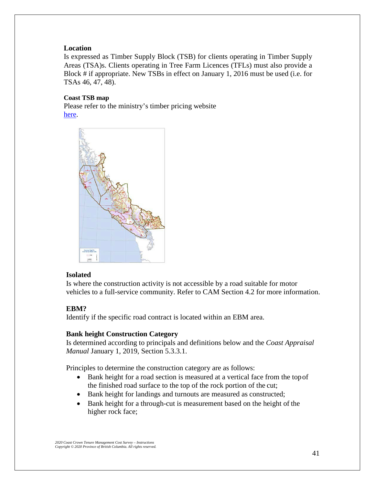# **Location**

Is expressed as Timber Supply Block (TSB) for clients operating in Timber Supply Areas (TSA)s. Clients operating in Tree Farm Licences (TFLs) must also provide a Block # if appropriate. New TSBs in effect on January 1, 2016 must be used (i.e. for TSAs 46, 47, 48).

# **Coast TSB map**

Please refer to the ministry's timber pricing website [here.](https://www2.gov.bc.ca/assets/gov/farming-natural-resources-and-industry/forestry/timber-pricing/coast-timber-pricing/coast_crown_tenure_management_cost_survey_schedule_b5tsb.pdf)



# **Isolated**

Is where the construction activity is not accessible by a road suitable for motor vehicles to a full-service community. Refer to CAM Section 4.2 for more information.

# **EBM?**

Identify if the specific road contract is located within an EBM area.

# **Bank height Construction Category**

Is determined according to principals and definitions below and the *Coast Appraisal Manual* January 1, 2019, Section 5.3.3.1.

Principles to determine the construction category are as follows:

- Bank height for a road section is measured at a vertical face from the topof the finished road surface to the top of the rock portion of the cut;
- Bank height for landings and turnouts are measured as constructed;
- Bank height for a through-cut is measurement based on the height of the higher rock face;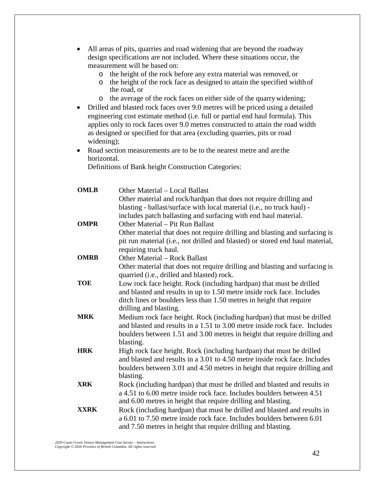- All areas of pits, quarries and road widening that are beyond the roadway design specifications are not included. Where these situations occur, the measurement will be based on:
	- $\circ$  the height of the rock before any extra material was removed, or  $\circ$  the height of the rock face as designed to attain the specified wid
	- the height of the rock face as designed to attain the specified width of the road, or
	- o the average of the rock faces on either side of the quarrywidening;
- Drilled and blasted rock faces over 9.0 metres will be priced using a detailed engineering cost estimate method (i.e. full or partial end haul formula). This applies only to rock faces over 9.0 metres constructed to attain the road width as designed or specified for that area (excluding quarries, pits or road widening);
- Road section measurements are to be to the nearest metre and are the horizontal.

Definitions of Bank height Construction Categories:

| <b>OMLB</b> | Other Material – Local Ballast                                                                                                                    |
|-------------|---------------------------------------------------------------------------------------------------------------------------------------------------|
|             | Other material and rock/hardpan that does not require drilling and                                                                                |
|             | blasting - ballast/surface with local material (i.e., no truck haul) -                                                                            |
|             | includes patch ballasting and surfacing with end haul material.                                                                                   |
| <b>OMPR</b> | Other Material – Pit Run Ballast                                                                                                                  |
|             | Other material that does not require drilling and blasting and surfacing is                                                                       |
|             | pit run material (i.e., not drilled and blasted) or stored end haul material,                                                                     |
|             | requiring truck haul.                                                                                                                             |
| <b>OMRB</b> | Other Material – Rock Ballast                                                                                                                     |
|             | Other material that does not require drilling and blasting and surfacing is<br>quarried (i.e., drilled and blasted) rock.                         |
| <b>TOE</b>  | Low rock face height. Rock (including hardpan) that must be drilled                                                                               |
|             | and blasted and results in up to 1.50 metre inside rock face. Includes                                                                            |
|             | ditch lines or boulders less than 1.50 metres in height that require                                                                              |
|             | drilling and blasting.                                                                                                                            |
| <b>MRK</b>  | Medium rock face height. Rock (including hardpan) that must be drilled                                                                            |
|             | and blasted and results in a 1.51 to 3.00 metre inside rock face. Includes                                                                        |
|             | boulders between 1.51 and 3.00 metres in height that require drilling and                                                                         |
|             | blasting.                                                                                                                                         |
| <b>HRK</b>  | High rock face height. Rock (including hardpan) that must be drilled                                                                              |
|             | and blasted and results in a 3.01 to 4.50 metre inside rock face. Includes                                                                        |
|             | boulders between 3.01 and 4.50 metres in height that require drilling and                                                                         |
|             | blasting.                                                                                                                                         |
| <b>XRK</b>  | Rock (including hardpan) that must be drilled and blasted and results in                                                                          |
|             | a 4.51 to 6.00 metre inside rock face. Includes boulders between 4.51                                                                             |
|             | and 6.00 metres in height that require drilling and blasting.                                                                                     |
| <b>XXRK</b> | Rock (including hardpan) that must be drilled and blasted and results in<br>a 6.01 to 7.50 metre inside rock face. Includes boulders between 6.01 |
|             |                                                                                                                                                   |
|             | and 7.50 metres in height that require drilling and blasting.                                                                                     |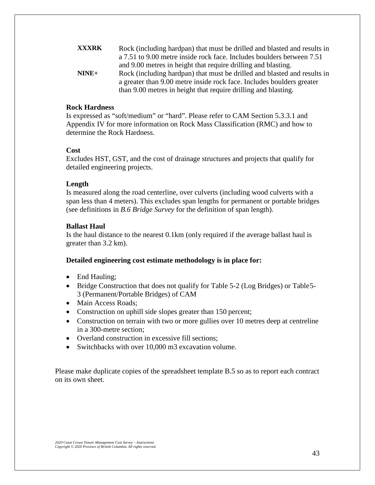| <b>XXXRK</b> | Rock (including hardpan) that must be drilled and blasted and results in |
|--------------|--------------------------------------------------------------------------|
|              | a 7.51 to 9.00 metre inside rock face. Includes boulders between 7.51    |
|              | and 9.00 metres in height that require drilling and blasting.            |
| $NINE+$      | Rock (including hardpan) that must be drilled and blasted and results in |
|              | a greater than 9.00 metre inside rock face. Includes boulders greater    |
|              | than 9.00 metres in height that require drilling and blasting.           |

#### **Rock Hardness**

Is expressed as "soft/medium" or "hard". Please refer to CAM Section 5.3.3.1 and Appendix IV for more information on Rock Mass Classification (RMC) and how to determine the Rock Hardness.

#### **Cost**

Excludes HST, GST, and the cost of drainage structures and projects that qualify for detailed engineering projects.

#### **Length**

Is measured along the road centerline, over culverts (including wood culverts with a span less than 4 meters). This excludes span lengths for permanent or portable bridges (see definitions in *B.6 Bridge Survey* for the definition of span length).

#### **Ballast Haul**

Is the haul distance to the nearest 0.1km (only required if the average ballast haul is greater than 3.2 km).

#### **Detailed engineering cost estimate methodology is in place for:**

- End Hauling;
- Bridge Construction that does not qualify for Table 5-2 (Log Bridges) or Table 5-3 (Permanent/Portable Bridges) of CAM
- Main Access Roads;
- Construction on uphill side slopes greater than 150 percent;
- Construction on terrain with two or more gullies over 10 metres deep at centreline in a 300-metre section;
- Overland construction in excessive fill sections:
- Switchbacks with over 10,000 m3 excavation volume.

Please make duplicate copies of the spreadsheet template B.5 so as to report each contract on its own sheet.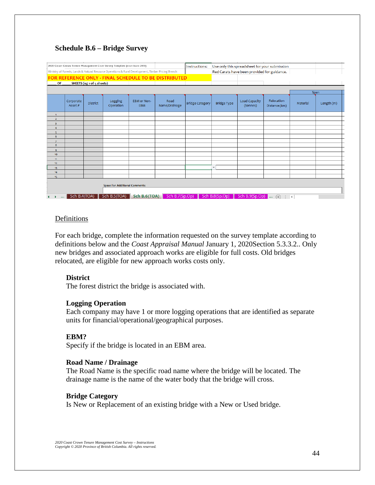# **Schedule B.6 – Bridge Survey**

|                                          |                      |                           | 2020 Coast Crown Tenure Management Cost Survey Template (cost base 2019)                            |                           |                                                       | Instructions:                 |                    |                                             | Use only this spreadsheet for your submission |          |            |
|------------------------------------------|----------------------|---------------------------|-----------------------------------------------------------------------------------------------------|---------------------------|-------------------------------------------------------|-------------------------------|--------------------|---------------------------------------------|-----------------------------------------------|----------|------------|
|                                          |                      |                           | Ministry of Forests, Lands & Natural Resource Operations & Rural Development, Timber Pricing Branch |                           |                                                       |                               |                    | Red Carats have been provided for guidance. |                                               |          |            |
|                                          |                      |                           |                                                                                                     |                           | FOR REFERENCE ONLY - FINAL SCHEDULE TO BE DISTRIBUTED |                               |                    |                                             |                                               |          |            |
| OF                                       |                      | SHEETS (eg 1 of 5 sheets) |                                                                                                     |                           |                                                       |                               |                    |                                             |                                               |          |            |
|                                          |                      |                           |                                                                                                     |                           |                                                       |                               |                    |                                             |                                               |          |            |
|                                          |                      |                           |                                                                                                     |                           |                                                       |                               |                    |                                             |                                               |          | Span       |
|                                          | Corporate<br>Asset # | <b>District</b>           | Logging<br>Operation                                                                                | EBM or Non-<br><b>EBM</b> | Road<br>Name/Drainage                                 | <b>Bridge Category</b>        | <b>Bridge Type</b> | <b>Load Capacity</b><br>(tonnes)            | Relocation<br>Distance (km)                   | Material | Length (m) |
| $\mathbf{1}$                             |                      |                           |                                                                                                     |                           |                                                       |                               |                    |                                             |                                               |          |            |
| $\overline{2}$                           |                      |                           |                                                                                                     |                           |                                                       |                               |                    |                                             |                                               |          |            |
| 3                                        |                      |                           |                                                                                                     |                           |                                                       |                               |                    |                                             |                                               |          |            |
| $\overline{4}$                           |                      |                           |                                                                                                     |                           |                                                       |                               |                    |                                             |                                               |          |            |
| $\overline{5}$<br>6                      |                      |                           |                                                                                                     |                           |                                                       |                               |                    |                                             |                                               |          |            |
| $\overline{7}$                           |                      |                           |                                                                                                     |                           |                                                       |                               |                    |                                             |                                               |          |            |
| 8                                        |                      |                           |                                                                                                     |                           |                                                       |                               |                    |                                             |                                               |          |            |
| $\mathbf{q}$                             |                      |                           |                                                                                                     |                           |                                                       |                               |                    |                                             |                                               |          |            |
| 10                                       |                      |                           |                                                                                                     |                           |                                                       |                               |                    |                                             |                                               |          |            |
| 11                                       |                      |                           |                                                                                                     |                           |                                                       |                               |                    |                                             |                                               |          |            |
| 12                                       |                      |                           |                                                                                                     |                           |                                                       |                               | ÷.                 |                                             |                                               |          |            |
| 13<br>14                                 |                      |                           |                                                                                                     |                           |                                                       |                               |                    |                                             |                                               |          |            |
| 15                                       |                      |                           |                                                                                                     |                           |                                                       |                               |                    |                                             |                                               |          |            |
|                                          |                      |                           | <b>Space For Additional Comments:</b>                                                               |                           |                                                       |                               |                    |                                             |                                               |          |            |
| $\blacktriangleright$ and $\blacksquare$ | Sch B.4(TOA)         |                           | Sch B.5(TOA)                                                                                        | Sch B.6(TOA)              |                                                       | Sch B.7(Sp.Op) Sch B.8(Sp.Op) | ◀▶                 |                                             | Sch B.9(Sp.Op) $\leftarrow$ (+) $\leftarrow$  |          |            |

### **Definitions**

For each bridge, complete the information requested on the survey template according to definitions below and the *Coast Appraisal Manual* January 1, 2020Section 5.3.3.2.. Only new bridges and associated approach works are eligible for full costs. Old bridges relocated, are eligible for new approach works costs only.

#### **District**

The forest district the bridge is associated with.

#### **Logging Operation**

Each company may have 1 or more logging operations that are identified as separate units for financial/operational/geographical purposes.

### **EBM?**

Specify if the bridge is located in an EBM area.

#### **Road Name / Drainage**

The Road Name is the specific road name where the bridge will be located. The drainage name is the name of the water body that the bridge will cross.

#### **Bridge Category**

Is New or Replacement of an existing bridge with a New or Used bridge.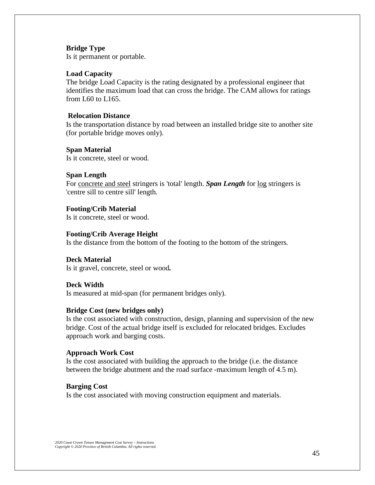#### **Bridge Type**

Is it permanent or portable.

### **Load Capacity**

The bridge Load Capacity is the rating designated by a professional engineer that identifies the maximum load that can cross the bridge. The CAM allows for ratings from L60 to L165.

#### **Relocation Distance**

Is the transportation distance by road between an installed bridge site to another site (for portable bridge moves only).

**Span Material** Is it concrete, steel or wood.

#### **Span Length**

For concrete and steel stringers is 'total' length. *Span Length* for log stringers is 'centre sill to centre sill' length*.*

## **Footing/Crib Material**

Is it concrete, steel or wood.

# **Footing/Crib Average Height**

Is the distance from the bottom of the footing to the bottom of the stringers*.*

#### **Deck Material**

Is it gravel, concrete, steel or wood*.*

#### **Deck Width**

Is measured at mid-span (for permanent bridges only).

#### **Bridge Cost (new bridges only)**

Is the cost associated with construction, design, planning and supervision of the new bridge. Cost of the actual bridge itself is excluded for relocated bridges. Excludes approach work and barging costs.

#### **Approach Work Cost**

Is the cost associated with building the approach to the bridge (i.e. the distance between the bridge abutment and the road surface -maximum length of 4.5 m).

#### **Barging Cost**

Is the cost associated with moving construction equipment and materials.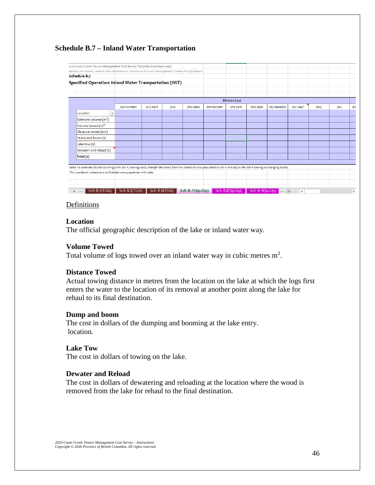# **Schedule B.7 – Inland Water Transportation**

| 2020 Coast Crown Tenure Management Cost Survey Template (cost base 2019)                                                                                                    |                   |                |            |                   |                   |                       |                |                    |                               |            |            |             |
|-----------------------------------------------------------------------------------------------------------------------------------------------------------------------------|-------------------|----------------|------------|-------------------|-------------------|-----------------------|----------------|--------------------|-------------------------------|------------|------------|-------------|
| Ministry of Forests, Lands & Natural Resource Operations & Rural Development, Timber Pricing Branch                                                                         |                   |                |            |                   |                   |                       |                |                    |                               |            |            |             |
| Schedule B.7                                                                                                                                                                |                   |                |            |                   |                   |                       |                |                    |                               |            |            |             |
| Specified Operation: Inland Water Transportation (IWT)                                                                                                                      |                   |                |            |                   |                   |                       |                |                    |                               |            |            |             |
|                                                                                                                                                                             |                   |                |            |                   |                   |                       |                |                    |                               |            |            |             |
|                                                                                                                                                                             |                   |                |            |                   |                   |                       |                |                    |                               |            |            |             |
|                                                                                                                                                                             |                   |                |            |                   |                   | <b>District Cost</b>  |                |                    |                               |            |            |             |
|                                                                                                                                                                             | <b>DCR-NonEBM</b> | <b>DCR-EBM</b> | <b>DCK</b> | <b>DNC-EBM</b>    | <b>DNI-NonEBM</b> | <b>DNI-EBM</b>        | DHG-EBM        | <b>DSI-NonEBM</b>  | DSI-Clay^                     | <b>DSQ</b> | <b>DSC</b> | εN          |
| Location<br>$\overline{\mathbf{v}}$                                                                                                                                         |                   |                |            |                   |                   |                       |                |                    |                               |            |            |             |
| Relevant volume $(m^3)$                                                                                                                                                     |                   |                |            |                   |                   |                       |                |                    |                               |            |            |             |
| Volume towed (m <sup>3)</sup>                                                                                                                                               |                   |                |            |                   |                   |                       |                |                    |                               |            |            |             |
| Distance towed (km)                                                                                                                                                         |                   |                |            |                   |                   |                       |                |                    |                               |            |            |             |
| Dump and boom $(\xi)$                                                                                                                                                       |                   |                |            |                   |                   |                       |                |                    |                               |            |            |             |
| Lake tow $(s)$                                                                                                                                                              |                   |                |            |                   |                   |                       |                |                    |                               |            |            |             |
| Dewater and reload (\$)                                                                                                                                                     |                   |                |            |                   |                   |                       |                |                    |                               |            |            |             |
| Total (\$)                                                                                                                                                                  | ٠                 |                | ٠          | ٠                 | ٠                 |                       | ٠              | ۰                  |                               | ÷          | ۰          |             |
|                                                                                                                                                                             |                   |                |            |                   |                   |                       |                |                    |                               |            |            |             |
| Note: To eliminate double counting with Sch A. towing costs, transfer the totals from this Schedule once populated to Sch A and adjust the Sch A towing and barging totals. |                   |                |            |                   |                   |                       |                |                    |                               |            |            |             |
| This workbook / schedule is confidential once populated with data                                                                                                           |                   |                |            |                   |                   |                       |                |                    |                               |            |            |             |
|                                                                                                                                                                             |                   |                |            |                   |                   |                       |                |                    |                               |            |            |             |
|                                                                                                                                                                             |                   |                |            |                   |                   |                       |                |                    |                               |            |            |             |
| Sch B.4(TOA)<br>٠<br>$\sim$ $\sim$ $\sim$                                                                                                                                   | Sch B.5(TOA)      | Sch B.6(TOA)   |            | Sch B.7 $(Sp,Op)$ |                   | Sch B.8(Sp.Op)<br>- 1 | Sch B.9(Sp.Op) | <b><i>Page</i></b> | $\bigoplus$<br>$\overline{4}$ |            |            | $\mathbf b$ |

#### **Definitions**

#### **Location**

The official geographic description of the lake or inland water way.

### **Volume Towed**

Total volume of logs towed over an inland water way in cubic metres  $m<sup>3</sup>$ .

#### **Distance Towed**

Actual towing distance in metres from the location on the lake at which the logs first enters the water to the location of its removal at another point along the lake for rehaul to its final destination.

#### **Dump and boom**

The cost in dollars of the dumping and booming at the lake entry. location.

#### **Lake Tow**

The cost in dollars of towing on the lake.

### **Dewater and Reload**

The cost in dollars of dewatering and reloading at the location where the wood is removed from the lake for rehaul to the final destination.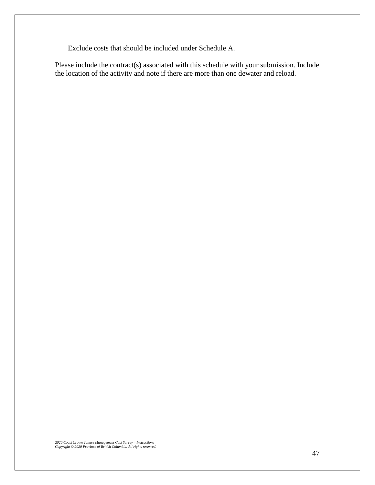Exclude costs that should be included under Schedule A.

Please include the contract(s) associated with this schedule with your submission. Include the location of the activity and note if there are more than one dewater and reload.

*2020 Coast Crown Tenure Management Cost Survey – Instructions Copyright © 2020 Province of British Columbia. All rights reserved.*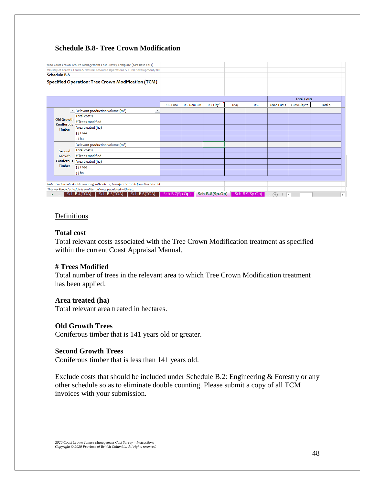# **Schedule B.8- Tree Crown Modification**

|                          | Ministry of Forests, Lands & Natural Resource Operations & Rural Development, Tim     |         |                   |           |            |            |                  |                    |                |
|--------------------------|---------------------------------------------------------------------------------------|---------|-------------------|-----------|------------|------------|------------------|--------------------|----------------|
| <b>Schedule B.8</b>      |                                                                                       |         |                   |           |            |            |                  |                    |                |
|                          | Specified Operation: Tree Crown Modification (TCM)                                    |         |                   |           |            |            |                  |                    |                |
|                          |                                                                                       |         |                   |           |            |            |                  |                    |                |
|                          |                                                                                       |         |                   |           |            |            |                  |                    |                |
|                          |                                                                                       |         |                   |           |            |            |                  | <b>Total Costs</b> |                |
|                          |                                                                                       | DHG-EBM | <b>DSI-NonEBM</b> | DSI-Clay^ | <b>DSQ</b> | <b>DSC</b> | <b>ENon-EBMS</b> | EBM&Clay^\$        | <b>Total s</b> |
| $\overline{\phantom{a}}$ | Relevant production volume (m <sup>3</sup> )<br>$\overline{\phantom{a}}$              |         |                   |           |            |            |                  |                    |                |
| Old Growth               | Total cost \$                                                                         |         |                   |           |            |            |                  |                    |                |
| Coniferous               | # Trees modified                                                                      |         |                   |           |            |            |                  |                    |                |
| <b>Timber</b>            | Area treated (ha)                                                                     |         |                   |           |            |            |                  |                    |                |
|                          | $\frac{1}{5}$ /Tree                                                                   |         |                   |           |            |            |                  |                    |                |
|                          | $\frac{1}{2}$ /ha                                                                     |         |                   |           |            |            |                  |                    |                |
|                          | Relevant production volume (m <sup>3</sup> )                                          |         |                   |           |            |            |                  |                    |                |
| Second                   | Total cost \$                                                                         |         |                   |           |            |            |                  |                    |                |
| Growth                   | # Trees modified                                                                      |         |                   |           |            |            |                  |                    |                |
| <b>Coniferous</b>        | Area treated (ha)                                                                     |         |                   |           |            |            |                  |                    |                |
| <b>Timber</b>            | $s$ /Tree                                                                             |         |                   |           |            |            |                  |                    |                |
|                          | $\frac{1}{2}$ /ha                                                                     |         |                   |           |            |            |                  |                    |                |
|                          |                                                                                       |         |                   |           |            |            |                  |                    |                |
|                          | Note: To eliminate double counting with Sch B2, transfer the totals from this Schedul |         |                   |           |            |            |                  |                    |                |
|                          | This workbook / schedule is confidential once populated with data                     |         |                   |           |            |            |                  |                    |                |

# Definitions

# **Total cost**

Total relevant costs associated with the Tree Crown Modification treatment as specified within the current Coast Appraisal Manual.

# **# Trees Modified**

Total number of trees in the relevant area to which Tree Crown Modification treatment has been applied.

#### **Area treated (ha)**

Total relevant area treated in hectares.

#### **Old Growth Trees**

Coniferous timber that is 141 years old or greater.

#### **Second Growth Trees**

Coniferous timber that is less than 141 years old.

Exclude costs that should be included under Schedule B.2: Engineering & Forestry or any other schedule so as to eliminate double counting. Please submit a copy of all TCM invoices with your submission.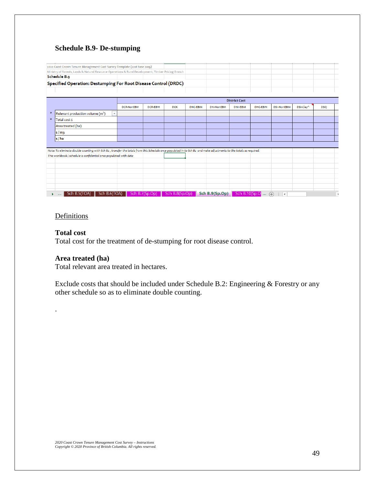# **Schedule B.9- De-stumping**

| 2020 Coast Crown Tenure Management Cost Survey Template (cost base 2019) |                                                                                              |            |                                                                                                                                                                        |                   |                |                      |                                                                                                                                                                    |                        |            |
|--------------------------------------------------------------------------|----------------------------------------------------------------------------------------------|------------|------------------------------------------------------------------------------------------------------------------------------------------------------------------------|-------------------|----------------|----------------------|--------------------------------------------------------------------------------------------------------------------------------------------------------------------|------------------------|------------|
|                                                                          |                                                                                              |            |                                                                                                                                                                        |                   |                |                      |                                                                                                                                                                    |                        |            |
|                                                                          |                                                                                              |            |                                                                                                                                                                        |                   |                |                      |                                                                                                                                                                    |                        |            |
|                                                                          |                                                                                              |            |                                                                                                                                                                        |                   |                |                      |                                                                                                                                                                    |                        |            |
|                                                                          |                                                                                              |            |                                                                                                                                                                        |                   |                |                      |                                                                                                                                                                    |                        |            |
|                                                                          |                                                                                              |            |                                                                                                                                                                        |                   |                |                      |                                                                                                                                                                    |                        |            |
|                                                                          |                                                                                              |            |                                                                                                                                                                        |                   |                |                      |                                                                                                                                                                    |                        |            |
| <b>DCR-NonEBM</b>                                                        | <b>DCR-EBM</b>                                                                               | <b>DCK</b> | <b>DNC-EBM</b>                                                                                                                                                         | <b>DNI-NonEBM</b> | <b>DNI-EBM</b> | DHG-EBM              | <b>DSI-NonEBM</b>                                                                                                                                                  | DSI-Clay^              | <b>DSQ</b> |
|                                                                          |                                                                                              |            |                                                                                                                                                                        |                   |                |                      |                                                                                                                                                                    |                        |            |
|                                                                          |                                                                                              |            |                                                                                                                                                                        |                   |                |                      |                                                                                                                                                                    |                        |            |
|                                                                          |                                                                                              |            |                                                                                                                                                                        |                   |                |                      |                                                                                                                                                                    |                        |            |
|                                                                          |                                                                                              |            |                                                                                                                                                                        |                   |                |                      |                                                                                                                                                                    |                        |            |
|                                                                          |                                                                                              |            |                                                                                                                                                                        |                   |                |                      |                                                                                                                                                                    |                        |            |
|                                                                          |                                                                                              |            |                                                                                                                                                                        |                   |                |                      |                                                                                                                                                                    |                        |            |
|                                                                          |                                                                                              |            |                                                                                                                                                                        |                   |                |                      |                                                                                                                                                                    |                        |            |
|                                                                          |                                                                                              |            |                                                                                                                                                                        |                   |                |                      |                                                                                                                                                                    |                        |            |
|                                                                          |                                                                                              |            |                                                                                                                                                                        |                   |                |                      |                                                                                                                                                                    |                        |            |
|                                                                          |                                                                                              |            |                                                                                                                                                                        |                   |                |                      |                                                                                                                                                                    |                        |            |
|                                                                          |                                                                                              |            |                                                                                                                                                                        |                   |                |                      |                                                                                                                                                                    |                        |            |
|                                                                          |                                                                                              |            |                                                                                                                                                                        |                   |                |                      |                                                                                                                                                                    |                        |            |
|                                                                          |                                                                                              |            |                                                                                                                                                                        |                   |                |                      |                                                                                                                                                                    |                        |            |
|                                                                          |                                                                                              |            |                                                                                                                                                                        |                   |                |                      |                                                                                                                                                                    |                        |            |
|                                                                          | $\overline{\mathbf{v}}$<br>This workbook / schedule is confidential once populated with data |            | Ministry of Forests, Lands & Natural Resource Operations & Rural Development, Timber Pricing Branch<br>Specified Operation: Destumping For Root Disease Control (DRDC) |                   |                | <b>District Cost</b> | Note: To eliminate double counting with Sch B2, transfer the totals from this Schedule once populated in to Sch B2 and make adjustments to the totals as required. | Sch B.10(Sp.O $\oplus$ |            |

# Definitions

# **Total cost**

.

Total cost for the treatment of de-stumping for root disease control.

# **Area treated (ha)**

Total relevant area treated in hectares.

Exclude costs that should be included under Schedule B.2: Engineering & Forestry or any other schedule so as to eliminate double counting.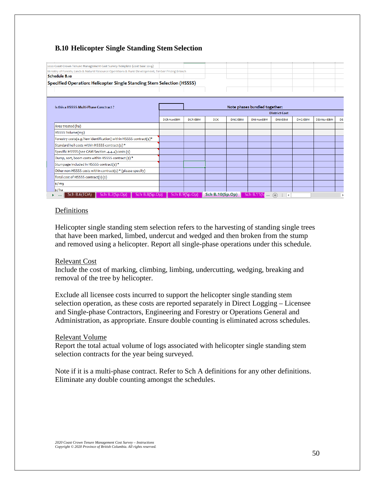# **B.10 Helicopter Single Standing Stem Selection**

| 2020 Coast Crown Tenure Management Cost Survey Template (cost base 2019)                            |                   |                |            |                |                               |                      |         |                   |            |
|-----------------------------------------------------------------------------------------------------|-------------------|----------------|------------|----------------|-------------------------------|----------------------|---------|-------------------|------------|
| Ministry of Forests, Lands & Natural Resource Operations & Rural Development, Timber Pricing Branch |                   |                |            |                |                               |                      |         |                   |            |
| Schedule B.10                                                                                       |                   |                |            |                |                               |                      |         |                   |            |
| Specified Operation: Helicopter Single Standing Stem Selection (HSSSS)                              |                   |                |            |                |                               |                      |         |                   |            |
|                                                                                                     |                   |                |            |                |                               |                      |         |                   |            |
|                                                                                                     |                   |                |            |                |                               |                      |         |                   |            |
|                                                                                                     |                   |                |            |                |                               |                      |         |                   |            |
| Is this a HSSSS Multi-Phase Conctract?                                                              |                   |                |            |                | Note phases bundled together: |                      |         |                   |            |
|                                                                                                     |                   |                |            |                |                               | <b>District Cost</b> |         |                   |            |
|                                                                                                     | <b>DCR-NonEBM</b> | <b>DCR-EBM</b> | <b>DCK</b> | <b>DNC-EBM</b> | <b>DNI-NonEBM</b>             | <b>DNI-EBM</b>       | DHG-EBM | <b>DSI-NonEBM</b> | <b>DSI</b> |
| Area treated (ha)                                                                                   |                   |                |            |                |                               |                      |         |                   |            |
| HSSSS Volume(m3)                                                                                    |                   |                |            |                |                               |                      |         |                   |            |
| Forestry costs(e.g. Yew identification) within HSSSS contract(\$)*                                  |                   |                |            |                |                               |                      |         |                   |            |
| Standard heli costs within HSSSS contract (\$)*                                                     |                   |                |            |                |                               |                      |         |                   |            |
| Specific HSSSS (see CAM Section .4.4.4) costs (\$)                                                  |                   |                |            |                |                               |                      |         |                   |            |
| Dump, sort, boom costs within HSSSS contract (\$)*                                                  |                   |                |            |                |                               |                      |         |                   |            |
| Stumpage included in HSSSS contract(\$)*                                                            |                   |                |            |                |                               |                      |         |                   |            |
| Other non-HSSSS costs within contract(\$) * (please specify)                                        |                   |                |            |                |                               |                      |         |                   |            |
| Total cost of HSSSS contract(s)(\$)                                                                 |                   |                |            |                |                               |                      |         |                   |            |
| $\frac{1}{2}$ /m <sub>3</sub>                                                                       |                   |                |            |                |                               |                      |         |                   |            |
|                                                                                                     |                   |                |            |                |                               |                      |         |                   |            |

# Definitions

Helicopter single standing stem selection refers to the harvesting of standing single trees that have been marked, limbed, undercut and wedged and then broken from the stump and removed using a helicopter. Report all single-phase operations under this schedule.

#### Relevant Cost

Include the cost of marking, climbing, limbing, undercutting, wedging, breaking and removal of the tree by helicopter.

Exclude all licensee costs incurred to support the helicopter single standing stem selection operation, as these costs are reported separately in Direct Logging – Licensee and Single-phase Contractors, Engineering and Forestry or Operations General and Administration, as appropriate. Ensure double counting is eliminated across schedules.

#### Relevant Volume

Report the total actual volume of logs associated with helicopter single standing stem selection contracts for the year being surveyed.

Note if it is a multi-phase contract. Refer to Sch A definitions for any other definitions. Eliminate any double counting amongst the schedules.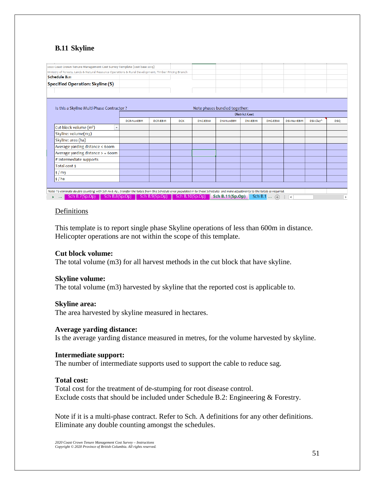# **B.11 Skyline**

|   | 2020 Coast Crown Tenure Management Cost Survey Template (cost base 2019)                                                                                                         |                                               |                |            |                |                               |                      |                       |                   |           |            |
|---|----------------------------------------------------------------------------------------------------------------------------------------------------------------------------------|-----------------------------------------------|----------------|------------|----------------|-------------------------------|----------------------|-----------------------|-------------------|-----------|------------|
|   | Ministry of Forests, Lands & Natural Resource Operations & Rural Development, Timber Pricing Branch                                                                              |                                               |                |            |                |                               |                      |                       |                   |           |            |
|   | Schedule B.11                                                                                                                                                                    |                                               |                |            |                |                               |                      |                       |                   |           |            |
|   | <b>Specified Operation: Skyline (S)</b>                                                                                                                                          |                                               |                |            |                |                               |                      |                       |                   |           |            |
|   |                                                                                                                                                                                  |                                               |                |            |                |                               |                      |                       |                   |           |            |
|   | Is this a Skyline Multi-Phase Contractor?                                                                                                                                        |                                               |                |            |                | Note phases bundled together: |                      |                       |                   |           |            |
|   |                                                                                                                                                                                  |                                               |                |            |                |                               | <b>District Cost</b> |                       |                   |           |            |
|   |                                                                                                                                                                                  | <b>DCR-NonEBM</b>                             | <b>DCR-EBM</b> | <b>DCK</b> | <b>DNC-EBM</b> | <b>DNI-NonEBM</b>             | <b>DNI-EBM</b>       | DHG-EBM               | <b>DSI-NonEBM</b> | DSI-Clav^ | <b>DSQ</b> |
|   | Cut-block volume (m <sup>3</sup> )<br>$\overline{\mathbf{v}}$                                                                                                                    |                                               |                |            |                |                               |                      |                       |                   |           |            |
|   | Skyline: volume(m3)                                                                                                                                                              |                                               |                |            |                |                               |                      |                       |                   |           |            |
|   | Skyline: area (ha)                                                                                                                                                               |                                               |                |            |                |                               |                      |                       |                   |           |            |
|   | Average yarding distance < 600m                                                                                                                                                  |                                               |                |            |                |                               |                      |                       |                   |           |            |
|   | Average yarding distance > = 600m                                                                                                                                                |                                               |                |            |                |                               |                      |                       |                   |           |            |
|   | # Intermediate supports                                                                                                                                                          |                                               |                |            |                |                               |                      |                       |                   |           |            |
|   | Total cost \$                                                                                                                                                                    |                                               |                |            |                |                               |                      |                       |                   |           |            |
|   | $\frac{1}{2}$ / m <sub>3</sub>                                                                                                                                                   |                                               |                |            |                |                               |                      |                       |                   |           |            |
|   | $\frac{1}{2}$ /ha                                                                                                                                                                |                                               |                |            |                |                               |                      |                       |                   |           |            |
|   |                                                                                                                                                                                  |                                               |                |            |                |                               |                      |                       |                   |           |            |
|   | Note: To eliminate double counting with Sch A1 & A2, transfer the totals from this Schedule once populated in to those Schedules and make adjustments to the totals as required. |                                               |                |            |                |                               |                      |                       |                   |           |            |
| ь | Sch B.7(Sp.Op)<br>$\sim$ 100 $\mu$                                                                                                                                               | Sch B.8(Sp.Op) Sch B.9(Sp.Op) Sch B.10(Sp.Op) |                |            |                | <b>Sch B.11(Sp.Op)</b>        |                      | Sch B.1. $\ldots$ (+) | H.                |           |            |

# **Definitions**

This template is to report single phase Skyline operations of less than 600m in distance. Helicopter operations are not within the scope of this template.

#### **Cut block volume:**

The total volume (m3) for all harvest methods in the cut block that have skyline.

#### **Skyline volume:**

The total volume (m3) harvested by skyline that the reported cost is applicable to.

#### **Skyline area:**

The area harvested by skyline measured in hectares.

#### **Average yarding distance:**

Is the average yarding distance measured in metres, for the volume harvested by skyline.

#### **Intermediate support:**

The number of intermediate supports used to support the cable to reduce sag.

#### **Total cost:**

Total cost for the treatment of de-stumping for root disease control. Exclude costs that should be included under Schedule B.2: Engineering & Forestry.

Note if it is a multi-phase contract. Refer to Sch. A definitions for any other definitions. Eliminate any double counting amongst the schedules.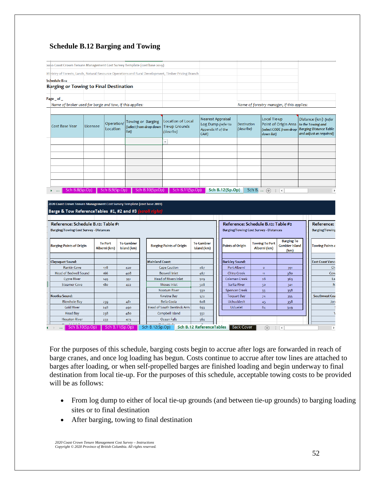# **Schedule B.12 Barging and Towing**

| 2020 Coast Crown Tenure Management Cost Survey Template (cost base 2019)                             |  |                                            |  |
|------------------------------------------------------------------------------------------------------|--|--------------------------------------------|--|
| Mihistry of Forests, Lands, Natural Resource Operations and Rural Development, Timber Pricing Branch |  |                                            |  |
| Schedule B.12                                                                                        |  |                                            |  |
| <b>Barging or Towing to Final Destination</b>                                                        |  |                                            |  |
| Page of                                                                                              |  |                                            |  |
| Name of broker used for barge and tow, if this applies:                                              |  | Name of forestry manager, if this applies: |  |

| Cost Base Year             | Licensee | Operation/<br>Location | Towing or Barging<br>(select from drop down   Tie-up Grounds<br>list) | Location of Local<br>(describe) | Nearest Appraisal<br>Log Dump (refer to<br>Appendix VI of the<br>(CAM) | Destination<br>(describe) | Local Tie-up<br>Point of Origin Area to the Towing and<br>(select CODE from drop   Barging Distance Table<br>down list) | Distance (km) (refer<br>and adjust as required) |
|----------------------------|----------|------------------------|-----------------------------------------------------------------------|---------------------------------|------------------------------------------------------------------------|---------------------------|-------------------------------------------------------------------------------------------------------------------------|-------------------------------------------------|
|                            |          |                        |                                                                       |                                 |                                                                        |                           |                                                                                                                         |                                                 |
|                            |          |                        |                                                                       |                                 |                                                                        |                           |                                                                                                                         |                                                 |
|                            |          |                        |                                                                       |                                 |                                                                        |                           |                                                                                                                         |                                                 |
|                            |          |                        |                                                                       |                                 |                                                                        |                           |                                                                                                                         |                                                 |
|                            |          |                        |                                                                       |                                 |                                                                        |                           |                                                                                                                         |                                                 |
|                            |          |                        |                                                                       |                                 |                                                                        |                           |                                                                                                                         |                                                 |
|                            |          |                        |                                                                       |                                 |                                                                        |                           |                                                                                                                         |                                                 |
| Sch B.8(Sp.Op)<br>$\cdots$ |          | Sch B.9(Sp.Op)         | Sch B.10(Sp.Op) $\blacksquare$                                        | Sch B.11(Sp.Op)                 | <b>Sch B.12(Sp.Op)</b>                                                 | Sch B.                    | $\frac{1}{2}$ $\rightarrow$<br>$(+)$                                                                                    | Þ.                                              |

#### .<br>2020 Coast Crown Tenure Management Cost Survey Template (cost base 2019) Barge & Tow ReferenceTables #1, #2 and #3 (scroll right

| Reference: Schedule B.12: Table #1                        |                                |                                  |                                 |                                  | Reference: Schedule B.12: Table #2            |                                       |                                                    | Reference: !            |
|-----------------------------------------------------------|--------------------------------|----------------------------------|---------------------------------|----------------------------------|-----------------------------------------------|---------------------------------------|----------------------------------------------------|-------------------------|
| Barging/Towing Cost Survey - Distances                    |                                |                                  |                                 |                                  | <b>Barging/Towing Cost Survey - Distances</b> |                                       |                                                    | <b>Barging/Towing</b>   |
| <b>Barging Points of Origin</b>                           | <b>To Port</b><br>Alberni (km) | <b>To Gambier</b><br>Island (km) | <b>Barging Points of Origin</b> | <b>To Gambier</b><br>Island (km) | Points of Origin                              | <b>Towing To Port</b><br>Alberni (km) | <b>Barging To</b><br><b>Gambier Island</b><br>(km) | <b>Towing Points o</b>  |
| Clayoquot Sound:                                          |                                |                                  | <b>Mainland Coast:</b>          |                                  | <b>Barkley Sound:</b>                         |                                       |                                                    | <b>East Coast Vance</b> |
| <b>Rankin Cove</b>                                        | 178                            | 420                              | <b>Cape Caution</b>             | 467                              | Port Alberni                                  | $\circ$                               | 391                                                | Ch                      |
| Head of Bedwell Sound                                     | 166                            | 408                              | Boswell Inlet                   | 467                              | China Creek                                   | 11                                    | 380                                                | Cow                     |
| <b>Cypre River</b>                                        | 149                            | 391                              | Head of Rivers Inlet            | 509                              | Coleman Creek                                 | 28                                    | 363                                                | La                      |
| <b>Steamer Cove</b>                                       | 18 <sub>o</sub>                | 422                              | Moses Inlet                     | 508                              | Sarita River                                  | 50                                    | 341                                                | N:                      |
|                                                           |                                |                                  | <b>Nootum River</b>             | 530                              | <b>Spencer Creek</b>                          | 33                                    | 358                                                |                         |
| Nootka Sound:                                             |                                |                                  | Kwatna Bay                      | 572                              | <b>Toquart Bay</b>                            | 74                                    | 355                                                | <b>Southwest Coa</b>    |
| <b>Blowhole Bay</b>                                       | 239                            | 481                              | Bella Coola                     | 608                              | <b>Uchucklesit</b>                            | 45                                    | 358                                                | Jord                    |
| <b>Gold River</b>                                         | 248                            | 490                              | Head of South Bentinck Arm      | 633                              | <b>Ucluelet</b>                               | 84                                    | 349                                                |                         |
| <b>Head Bay</b>                                           | 238                            | 480                              | Campbell Island                 | 552                              |                                               |                                       |                                                    |                         |
| <b>Houston River</b>                                      | 233                            | 475                              | Ocean Falls                     | 562                              |                                               |                                       |                                                    |                         |
| <b>March 1989</b> For Fall<br>Sch B.10(Sp.Op)<br>$\cdots$ |                                | $\epsilon$<br>Sch B.11(Sp.Op)    | en monte de<br>Sch B.12(Sp.Op)  | <b>Sch B.12 ReferenceTables</b>  | <b>Back Cover</b>                             | $(+)$                                 | $\blacktriangleleft$                               |                         |

For the purposes of this schedule, barging costs begin to accrue after logs are forwarded in reach of barge cranes, and once log loading has begun. Costs continue to accrue after tow lines are attached to barges after loading, or when self-propelled barges are finished loading and begin underway to final destination from local tie-up. For the purposes of this schedule, acceptable towing costs to be provided will be as follows:

- From log dump to either of local tie-up grounds (and between tie-up grounds) to barging loading sites or to final destination
- After barging, towing to final destination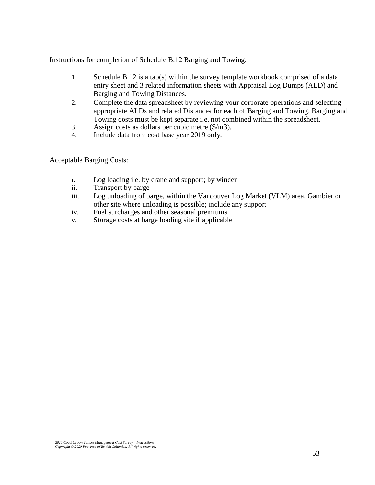Instructions for completion of Schedule B.12 Barging and Towing:

- 1. Schedule B.12 is a tab(s) within the survey template workbook comprised of a data entry sheet and 3 related information sheets with Appraisal Log Dumps (ALD) and Barging and Towing Distances.
- 2. Complete the data spreadsheet by reviewing your corporate operations and selecting appropriate ALDs and related Distances for each of Barging and Towing. Barging and Towing costs must be kept separate i.e. not combined within the spreadsheet.
- 3. Assign costs as dollars per cubic metre (\$/m3).
- 4. Include data from cost base year 2019 only.

Acceptable Barging Costs:

- i. Log loading i.e. by crane and support; by winder
- ii. Transport by barge
- iii. Log unloading of barge, within the Vancouver Log Market (VLM) area, Gambier or other site where unloading is possible; include any support
- iv. Fuel surcharges and other seasonal premiums
- v. Storage costs at barge loading site if applicable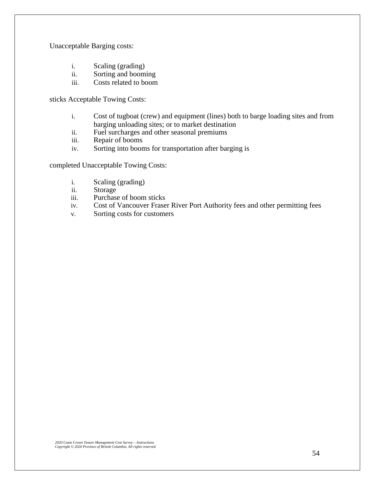Unacceptable Barging costs:

- i. Scaling (grading)
- ii. Sorting and booming
- iii. Costs related to boom

sticks Acceptable Towing Costs:

- i. Cost of tugboat (crew) and equipment (lines) both to barge loading sites and from barging unloading sites; or to market destination
- ii. Fuel surcharges and other seasonal premiums
- iii. Repair of booms
- iv. Sorting into booms for transportation after barging is

completed Unacceptable Towing Costs:

- i. Scaling (grading)
- ii. Storage
- iii. Purchase of boom sticks
- iv. Cost of Vancouver Fraser River Port Authority fees and other permitting fees
- v. Sorting costs for customers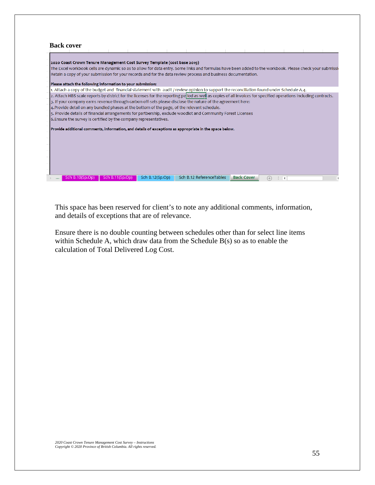| <b>Back cover</b>                                                                                                                                                 |
|-------------------------------------------------------------------------------------------------------------------------------------------------------------------|
|                                                                                                                                                                   |
| 2020 Coast Crown Tenure Management Cost Survey Template (cost base 2019)                                                                                          |
| The Excel workbook cells are dynamic so as to allow for data entry. Some links and formulas have been added to the workbook. Please check your submissid          |
| Retain a copy of your submission for your records and for the data review process and business documentation.                                                     |
|                                                                                                                                                                   |
| Please attach the following information to your submission:                                                                                                       |
| 1. Attach a copy of the budget and financial statement with audit / review opinion to support the reconciliation found under Schedule A.4.                        |
| 2. Attach HBS scale reports by district for the licenses for the reporting period as well as copies of all invoices for specified operations including contracts. |
| 3. If your company earns revenue through carbon off-sets please disclose the nature of the agreement here:                                                        |
| 4. Provide detail on any bundled phases at the bottom of the page, of the relevant schedule.                                                                      |
| 5. Provide details of financial arrangements for partbership, exclude woodlot and Community Forest Licenses                                                       |
| 6. Ensure the survey is certified by the company representatives.                                                                                                 |
| Provide additional comments, information, and details of exceptions as appropriate in the space below.                                                            |
|                                                                                                                                                                   |
|                                                                                                                                                                   |
|                                                                                                                                                                   |
|                                                                                                                                                                   |
|                                                                                                                                                                   |
|                                                                                                                                                                   |
|                                                                                                                                                                   |
| Sch B.12 ReferenceTables<br>Sch B.12(Sp.Op)<br><b>Back Cover</b><br>Sch B.10(Sp.Op)<br>Sch B.11(Sp.Op)                                                            |
| r +<br>∢                                                                                                                                                          |

This space has been reserved for client's to note any additional comments, information, and details of exceptions that are of relevance.

Ensure there is no double counting between schedules other than for select line items within Schedule A, which draw data from the Schedule B(s) so as to enable the calculation of Total Delivered Log Cost.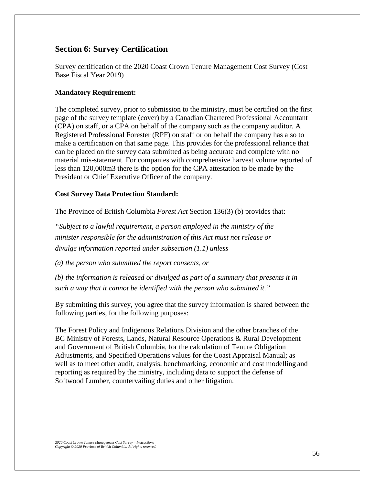# **Section 6: Survey Certification**

Survey certification of the 2020 Coast Crown Tenure Management Cost Survey (Cost Base Fiscal Year 2019)

# **Mandatory Requirement:**

The completed survey, prior to submission to the ministry, must be certified on the first page of the survey template (cover) by a Canadian Chartered Professional Accountant (CPA) on staff, or a CPA on behalf of the company such as the company auditor. A Registered Professional Forester (RPF) on staff or on behalf the company has also to make a certification on that same page. This provides for the professional reliance that can be placed on the survey data submitted as being accurate and complete with no material mis-statement. For companies with comprehensive harvest volume reported of less than 120,000m3 there is the option for the CPA attestation to be made by the President or Chief Executive Officer of the company.

# **Cost Survey Data Protection Standard:**

The Province of British Columbia *Forest Act* Section 136(3) (b) provides that:

*"Subject to a lawful requirement, a person employed in the ministry of the minister responsible for the administration of this Act must not release or divulge information reported under subsection (1.1) unless*

*(a) the person who submitted the report consents, or*

*(b) the information is released or divulged as part of a summary that presents it in such a way that it cannot be identified with the person who submitted it."*

By submitting this survey, you agree that the survey information is shared between the following parties, for the following purposes:

The Forest Policy and Indigenous Relations Division and the other branches of the BC Ministry of Forests, Lands, Natural Resource Operations & Rural Development and Government of British Columbia, for the calculation of Tenure Obligation Adjustments, and Specified Operations values for the Coast Appraisal Manual; as well as to meet other audit, analysis, benchmarking, economic and cost modelling and reporting as required by the ministry, including data to support the defense of Softwood Lumber, countervailing duties and other litigation.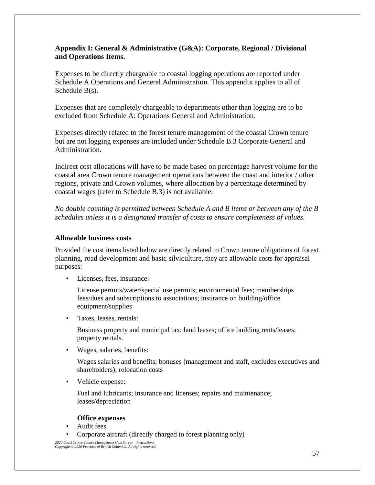# **Appendix I: General & Administrative (G&A): Corporate, Regional / Divisional and Operations Items.**

Expenses to be directly chargeable to coastal logging operations are reported under Schedule A Operations and General Administration. This appendix applies to all of Schedule B(s).

Expenses that are completely chargeable to departments other than logging are to be excluded from Schedule A: Operations General and Administration.

Expenses directly related to the forest tenure management of the coastal Crown tenure but are not logging expenses are included under Schedule B.3 Corporate General and Administration.

Indirect cost allocations will have to be made based on percentage harvest volume for the coastal area Crown tenure management operations between the coast and interior / other regions, private and Crown volumes, where allocation by a percentage determined by coastal wages (refer to Schedule B.3) is not available.

*No double counting is permitted between Schedule A and B items or between any of the B schedules unless it is a designated transfer of costs to ensure completeness of values.*

# **Allowable business costs**

Provided the cost items listed below are directly related to Crown tenure obligations of forest planning, road development and basic silviculture, they are allowable costs for appraisal purposes:

• Licenses, fees, insurance:

License permits/water/special use permits; environmental fees; memberships fees/dues and subscriptions to associations; insurance on building/office equipment/supplies

• Taxes, leases, rentals:

Business property and municipal tax; land leases; office building rents/leases; property rentals.

• Wages, salaries, benefits:

Wages salaries and benefits; bonuses (management and staff, excludes executives and shareholders); relocation costs

• Vehicle expense:

Fuel and lubricants; insurance and licenses; repairs and maintenance; leases/depreciation

#### **Office expenses**

- Audit fees
- Corporate aircraft (directly charged to forest planning only)

*2020 Coast Crown Tenure Management Cost Survey – Instructions Copyright © 2020 Province of British Columbia. All rights reserved.*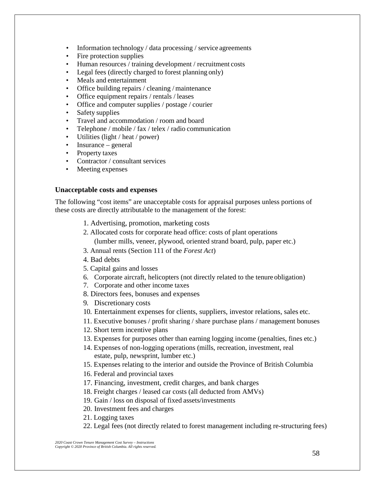- Information technology / data processing / service agreements
- Fire protection supplies
- Human resources / training development / recruitment costs
- Legal fees (directly charged to forest planning only)
- Meals and entertainment
- Office building repairs / cleaning / maintenance
- Office equipment repairs / rentals / leases
- Office and computer supplies / postage / courier
- Safety supplies
- Travel and accommodation / room and board
- Telephone / mobile / fax / telex / radio communication
- Utilities (light / heat / power)
- Insurance general
- Property taxes
- Contractor / consultant services
- Meeting expenses

#### **Unacceptable costs and expenses**

The following "cost items" are unacceptable costs for appraisal purposes unless portions of these costs are directly attributable to the management of the forest:

- 1. Advertising, promotion, marketing costs
- 2. Allocated costs for corporate head office: costs of plant operations
	- (lumber mills, veneer, plywood, oriented strand board, pulp, paper etc.)
- 3. Annual rents (Section 111 of the *Forest Act*)
- 4. Bad debts
- 5. Capital gains and losses
- 6. Corporate aircraft, helicopters (not directly related to the tenure obligation)
- 7. Corporate and other income taxes
- 8. Directors fees, bonuses and expenses
- 9. Discretionary costs
- 10. Entertainment expenses for clients, suppliers, investor relations, sales etc.
- 11. Executive bonuses / profit sharing / share purchase plans / management bonuses
- 12. Short term incentive plans
- 13. Expenses for purposes other than earning logging income (penalties, fines etc.)
- 14. Expenses of non-logging operations (mills, recreation, investment, real estate, pulp, newsprint, lumber etc.)
- 15. Expenses relating to the interior and outside the Province of British Columbia
- 16. Federal and provincial taxes
- 17. Financing, investment, credit charges, and bank charges
- 18. Freight charges / leased car costs (all deducted from AMVs)
- 19. Gain / loss on disposal of fixed assets/investments
- 20. Investment fees and charges
- 21. Logging taxes
- 22. Legal fees (not directly related to forest management including re-structuring fees)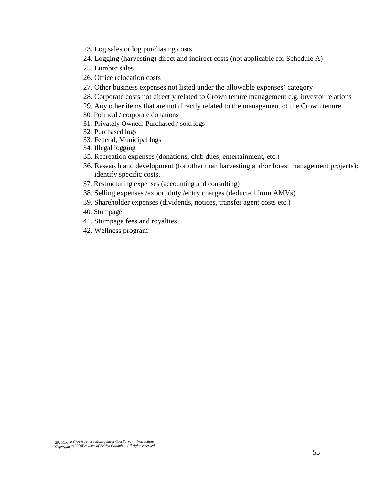- 23. Log sales or log purchasing costs
- 24. Logging (harvesting) direct and indirect costs (not applicable for Schedule A)
- 25. Lumber sales
- 26. Office relocation costs
- 27. Other business expenses not listed under the allowable expenses' category
- 28. Corporate costs not directly related to Crown tenure management e.g. investor relations
- 29. Any other items that are not directly related to the management of the Crown tenure
- 30. Political / corporate donations
- 31. Privately Owned: Purchased / sold logs
- 32. Purchased logs
- 33. Federal, Municipal logs
- 34. Illegal logging
- 35. Recreation expenses (donations, club dues, entertainment, etc.)
- 36. Research and development (for other than harvesting and/or forest management projects): identify specific costs.
- 37. Restructuring expenses (accounting and consulting)
- 38. Selling expenses /export duty /entry charges (deducted from AMVs)
- 39. Shareholder expenses (dividends, notices, transfer agent costs etc.)
- 40. Stumpage
- 41. Stumpage fees and royalties
- 42. Wellness program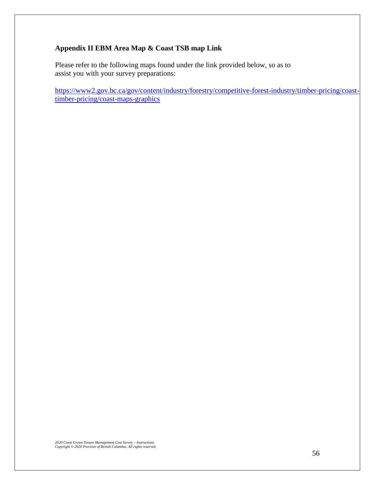# **Appendix II EBM Area Map & Coast TSB map Link**

Please refer to the following maps found under the link provided below, so as to assist you with your survey preparations:

[https://www2.gov.bc.ca/gov/content/industry/forestry/competitive-forest-industry/timber-pricing/coast](https://www2.gov.bc.ca/gov/content/industry/forestry/competitive-forest-industry/timber-pricing/coast-timber-pricing/coast-maps-graphics)[timber-pricing/coast-maps-graphics](https://www2.gov.bc.ca/gov/content/industry/forestry/competitive-forest-industry/timber-pricing/coast-timber-pricing/coast-maps-graphics)

*2020 Coast Crown Tenure Management Cost Survey – Instructions Copyright © 2020 Province of British Columbia. All rights reserved.*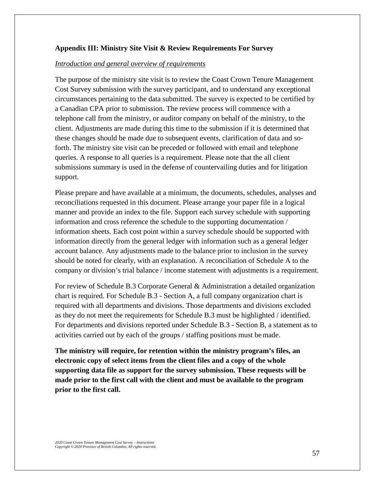#### **Appendix III: Ministry Site Visit & Review Requirements For Survey**

#### *Introduction and general overview of requirements*

The purpose of the ministry site visit is to review the Coast Crown Tenure Management Cost Survey submission with the survey participant, and to understand any exceptional circumstances pertaining to the data submitted. The survey is expected to be certified by a Canadian CPA prior to submission. The review process will commence with a telephone call from the ministry, or auditor company on behalf of the ministry, to the client. Adjustments are made during this time to the submission if it is determined that these changes should be made due to subsequent events, clarification of data and soforth. The ministry site visit can be preceded or followed with email and telephone queries. A response to all queries is a requirement. Please note that the all client submissions summary is used in the defense of countervailing duties and for litigation support.

Please prepare and have available at a minimum, the documents, schedules, analyses and reconciliations requested in this document. Please arrange your paper file in a logical manner and provide an index to the file. Support each survey schedule with supporting information and cross reference the schedule to the supporting documentation / information sheets. Each cost point within a survey schedule should be supported with information directly from the general ledger with information such as a general ledger account balance. Any adjustments made to the balance prior to inclusion in the survey should be noted for clearly, with an explanation. A reconciliation of Schedule A to the company or division's trial balance / income statement with adjustments is a requirement.

For review of Schedule B.3 Corporate General & Administration a detailed organization chart is required. For Schedule B.3 - Section A, a full company organization chart is required with all departments and divisions. Those departments and divisions excluded as they do not meet the requirements for Schedule B.3 must be highlighted / identified. For departments and divisions reported under Schedule B.3 - Section B, a statement as to activities carried out by each of the groups / staffing positions must bemade.

**The ministry will require, for retention within the ministry program's files, an electronic copy of select items from the client files and a copy of the whole supporting data file as support for the survey submission. These requests will be made prior to the first call with the client and must be available to the program prior to the first call.**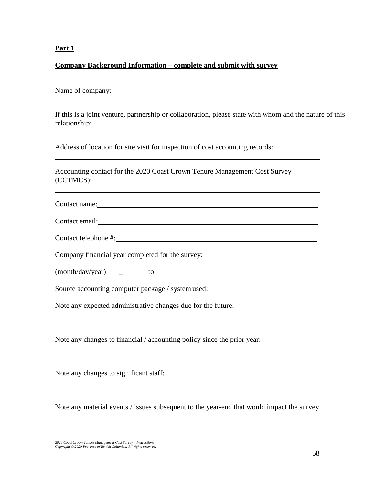# **Company Background Information – complete and submit with survey**

#### Name of company:

If this is a joint venture, partnership or collaboration, please state with whom and the nature of this relationship:

Address of location for site visit for inspection of cost accounting records:

Accounting contact for the 2020 Coast Crown Tenure Management Cost Survey (CCTMCS):

Contact name:

Contact telephone #:

Company financial year completed for the survey:

 $(month/day/year)$  to  $t$ 

Source accounting computer package / system used:

Note any expected administrative changes due for the future:

Note any changes to financial / accounting policy since the prior year:

Note any changes to significant staff:

Note any material events / issues subsequent to the year-end that would impact the survey.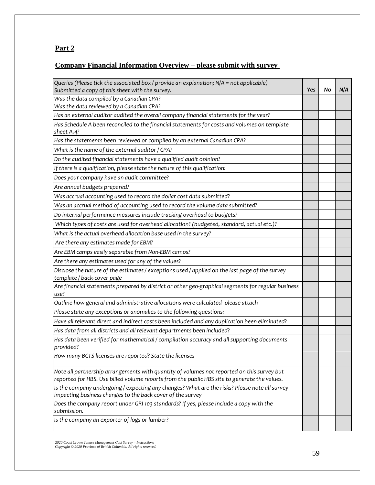# **Company Financial Information Overview – please submit with survey**

| Queries (Please tick the associated box / provide an explanation; N/A = not applicable)                                       |     |    |     |
|-------------------------------------------------------------------------------------------------------------------------------|-----|----|-----|
| Submitted a copy of this sheet with the survey.                                                                               | Yes | No | N/A |
| Was the data compiled by a Canadian CPA?                                                                                      |     |    |     |
| Was the data reviewed by a Canadian CPA?                                                                                      |     |    |     |
| Has an external auditor audited the overall company financial statements for the year?                                        |     |    |     |
| Has Schedule A been reconciled to the financial statements for costs and volumes on template<br>sheet A.4?                    |     |    |     |
| Has the statements been reviewed or compiled by an external Canadian CPA?                                                     |     |    |     |
| What is the name of the external auditor / CPA?                                                                               |     |    |     |
| Do the audited financial statements have a qualified audit opinion?                                                           |     |    |     |
| If there is a qualification, please state the nature of this qualification:                                                   |     |    |     |
| Does your company have an audit committee?                                                                                    |     |    |     |
| Are annual budgets prepared?                                                                                                  |     |    |     |
| Was accrual accounting used to record the dollar cost data submitted?                                                         |     |    |     |
| Was an accrual method of accounting used to record the volume data submitted?                                                 |     |    |     |
| Do internal performance measures include tracking overhead to budgets?                                                        |     |    |     |
| Which types of costs are used for overhead allocation? (budgeted, standard, actual etc.)?                                     |     |    |     |
| What is the actual overhead allocation base used in the survey?                                                               |     |    |     |
| Are there any estimates made for EBM?                                                                                         |     |    |     |
| Are EBM camps easily separable from Non-EBM camps?                                                                            |     |    |     |
| Are there any estimates used for any of the values?                                                                           |     |    |     |
| Disclose the nature of the estimates / exceptions used / applied on the last page of the survey<br>template / back-cover page |     |    |     |
| Are financial statements prepared by district or other geo-graphical segments for regular business<br>use?                    |     |    |     |
| Outline how general and administrative allocations were calculated-please attach                                              |     |    |     |
| Please state any exceptions or anomalies to the following questions:                                                          |     |    |     |
| Have all relevant direct and indirect costs been included and any duplication been eliminated?                                |     |    |     |
| Has data from all districts and all relevant departments been included?                                                       |     |    |     |
| Has data been verified for mathematical / compilation accuracy and all supporting documents<br>provided?                      |     |    |     |
| How many BCTS licenses are reported? State the licenses                                                                       |     |    |     |
| Note all partnership arrangements with quantity of volumes not reported on this survey but                                    |     |    |     |
| reported for HBS. Use billed volume reports from the public HBS site to generate the values.                                  |     |    |     |
| Is the company undergoing / expecting any changes? What are the risks? Please note all survey                                 |     |    |     |
| impacting business changes to the back cover of the survey                                                                    |     |    |     |
| Does the company report under GRI 103 standards? If yes, please include a copy with the<br>submission.                        |     |    |     |
| Is the company an exporter of logs or lumber?                                                                                 |     |    |     |
|                                                                                                                               |     |    |     |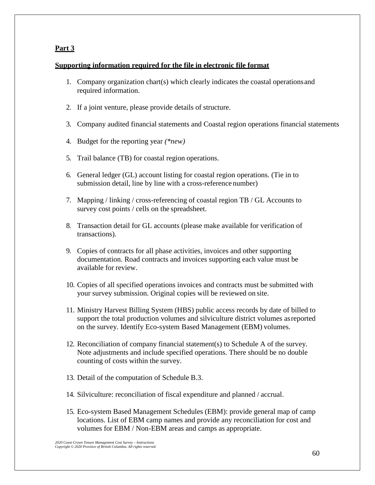# **Supporting information required for the file in electronic file format**

- 1. Company organization chart(s) which clearly indicates the coastal operationsand required information.
- 2. If a joint venture, please provide details of structure.
- 3. Company audited financial statements and Coastal region operations financial statements
- 4. Budget for the reporting year *(\*new)*
- 5. Trail balance (TB) for coastal region operations.
- 6. General ledger (GL) account listing for coastal region operations. (Tie in to submission detail, line by line with a cross-reference number)
- 7. Mapping / linking / cross-referencing of coastal region TB / GL Accounts to survey cost points / cells on the spreadsheet.
- 8. Transaction detail for GL accounts (please make available for verification of transactions).
- 9. Copies of contracts for all phase activities, invoices and other supporting documentation. Road contracts and invoices supporting each value must be available for review.
- 10. Copies of all specified operations invoices and contracts must be submitted with your survey submission. Original copies will be reviewed on site.
- 11. Ministry Harvest Billing System (HBS) public access records by date of billed to support the total production volumes and silviculture district volumes asreported on the survey. Identify Eco-system Based Management (EBM) volumes.
- 12. Reconciliation of company financial statement(s) to Schedule A of the survey. Note adjustments and include specified operations. There should be no double counting of costs within the survey.
- 13. Detail of the computation of Schedule B.3.
- 14. Silviculture: reconciliation of fiscal expenditure and planned / accrual.
- 15. Eco-system Based Management Schedules (EBM): provide general map of camp locations. List of EBM camp names and provide any reconciliation for cost and volumes for EBM / Non-EBM areas and camps as appropriate.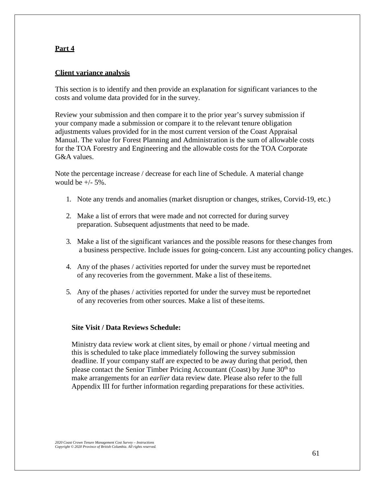# **Client variance analysis**

This section is to identify and then provide an explanation for significant variances to the costs and volume data provided for in the survey.

Review your submission and then compare it to the prior year's survey submission if your company made a submission or compare it to the relevant tenure obligation adjustments values provided for in the most current version of the Coast Appraisal Manual. The value for Forest Planning and Administration is the sum of allowable costs for the TOA Forestry and Engineering and the allowable costs for the TOA Corporate G&A values.

Note the percentage increase / decrease for each line of Schedule. A material change would be  $+/- 5\%$ .

- 1. Note any trends and anomalies (market disruption or changes, strikes, Corvid-19, etc.)
- 2. Make a list of errors that were made and not corrected for during survey preparation. Subsequent adjustments that need to be made.
- 3. Make a list of the significant variances and the possible reasons for these changes from a business perspective. Include issues for going-concern. List any accounting policy changes.
- 4. Any of the phases / activities reported for under the survey must be reportednet of any recoveries from the government. Make a list of these items.
- 5. Any of the phases / activities reported for under the survey must be reportednet of any recoveries from other sources. Make a list of these items.

#### **Site Visit / Data Reviews Schedule:**

Ministry data review work at client sites, by email or phone / virtual meeting and this is scheduled to take place immediately following the survey submission deadline. If your company staff are expected to be away during that period, then please contact the Senior Timber Pricing Accountant (Coast) by June 30<sup>th</sup> to make arrangements for an *earlier* data review date. Please also refer to the full Appendix III for further information regarding preparations for these activities.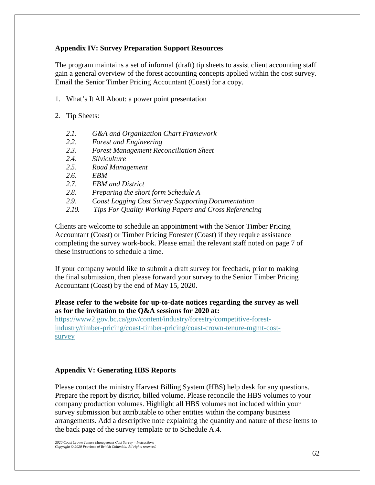# **Appendix IV: Survey Preparation Support Resources**

The program maintains a set of informal (draft) tip sheets to assist client accounting staff gain a general overview of the forest accounting concepts applied within the cost survey. Email the Senior Timber Pricing Accountant (Coast) for a copy.

- 1. What's It All About: a power point presentation
- 2. Tip Sheets:
	- *2.1. G&A and Organization Chart Framework*
	- *2.2. Forest and Engineering*
	- *2.3. Forest Management Reconciliation Sheet*
	- *2.4. Silviculture*
	- *2.5. Road Management*
	- *2.6. EBM*
	- *2.7. EBM and District*
	- *2.8. Preparing the short form Schedule A*
	- *2.9. Coast Logging Cost Survey Supporting Documentation*
	- *2.10. Tips For Quality Working Papers and Cross Referencing*

Clients are welcome to schedule an appointment with the Senior Timber Pricing Accountant (Coast) or Timber Pricing Forester (Coast) if they require assistance completing the survey work-book. Please email the relevant staff noted on page 7 of these instructions to schedule a time.

If your company would like to submit a draft survey for feedback, prior to making the final submission, then please forward your survey to the Senior Timber Pricing Accountant (Coast) by the end of May 15, 2020.

# **Please refer to the website for up-to-date notices regarding the survey as well as for the invitation to the Q&A sessions for 2020 at:**

https://www2.gov.bc.ca/gov/content/industry/forestry/competitive-forestindustry/timber-pricing/coast-timber-pricing/coast-crown-tenure-mgmt-costsurvey

# **Appendix V: Generating HBS Reports**

Please contact the ministry Harvest Billing System (HBS) help desk for any questions. Prepare the report by district, billed volume. Please reconcile the HBS volumes to your company production volumes. Highlight all HBS volumes not included within your survey submission but attributable to other entities within the company business arrangements. Add a descriptive note explaining the quantity and nature of these items to the back page of the survey template or to Schedule A.4.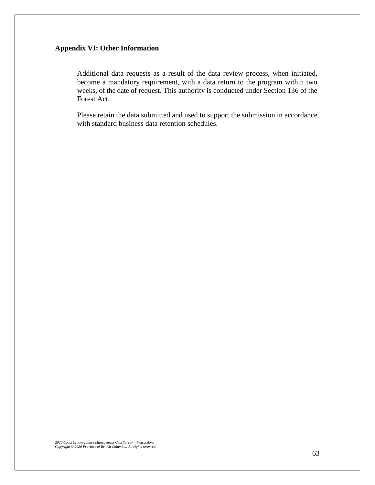# **Appendix VI: Other Information**

Additional data requests as a result of the data review process, when initiated, become a mandatory requirement, with a data return to the program within two weeks, of the date of request. This authority is conducted under Section 136 of the Forest Act.

Please retain the data submitted and used to support the submission in accordance with standard business data retention schedules.